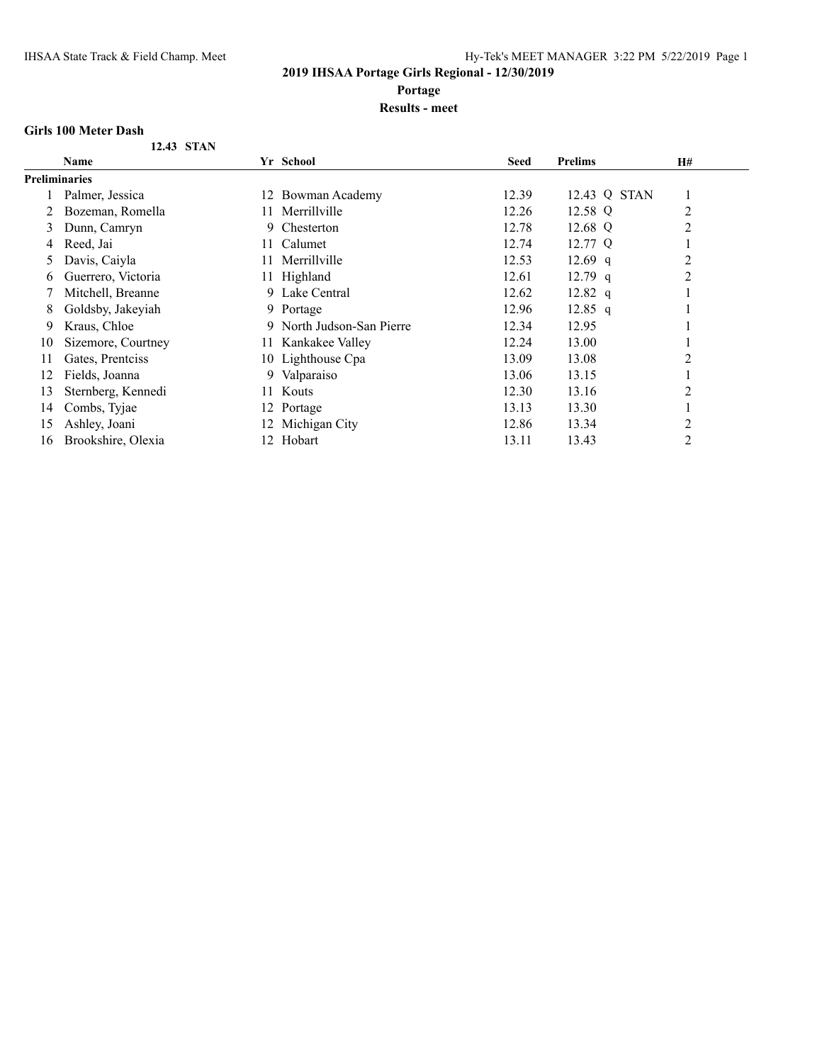**Portage**

#### **Results - meet**

#### **Girls 100 Meter Dash**

| <b>Name</b>        |     |                  | <b>Seed</b>                                                                                                                                                               | <b>Prelims</b> | <b>H#</b> |
|--------------------|-----|------------------|---------------------------------------------------------------------------------------------------------------------------------------------------------------------------|----------------|-----------|
| Preliminaries      |     |                  |                                                                                                                                                                           |                |           |
| Palmer, Jessica    |     |                  | 12.39                                                                                                                                                                     | 12.43 Q STAN   |           |
| Bozeman, Romella   | 11. | Merrillville     | 12.26                                                                                                                                                                     | 12.58 Q        | 2         |
| Dunn, Camryn       | 9.  | Chesterton       | 12.78                                                                                                                                                                     | 12.68 Q        | 2         |
| Reed, Jai          | 11. | Calumet          | 12.74                                                                                                                                                                     | 12.77 Q        |           |
| Davis, Caiyla      |     | Merrillville     | 12.53                                                                                                                                                                     | 12.69 $q$      | 2         |
| Guerrero, Victoria |     |                  | 12.61                                                                                                                                                                     | $12.79$ q      | 2         |
| Mitchell, Breanne  |     |                  | 12.62                                                                                                                                                                     | 12.82 $q$      |           |
| Goldsby, Jakeyiah  |     |                  | 12.96                                                                                                                                                                     | $12.85$ q      |           |
| Kraus, Chloe       | 9.  |                  | 12.34                                                                                                                                                                     | 12.95          |           |
| Sizemore, Courtney |     | Kankakee Valley  | 12.24                                                                                                                                                                     | 13.00          |           |
| Gates, Prentciss   |     |                  | 13.09                                                                                                                                                                     | 13.08          | 2         |
| Fields, Joanna     | 9   |                  | 13.06                                                                                                                                                                     | 13.15          |           |
| Sternberg, Kennedi |     |                  | 12.30                                                                                                                                                                     | 13.16          | 2         |
| Combs, Tyjae       |     |                  | 13.13                                                                                                                                                                     | 13.30          |           |
| Ashley, Joani      |     | Michigan City    | 12.86                                                                                                                                                                     | 13.34          | 2         |
| Brookshire, Olexia | 12. | Hobart           | 13.11                                                                                                                                                                     | 13.43          | 2         |
|                    |     | 11.<br>11.<br>12 | Yr School<br>12 Bowman Academy<br>11 Highland<br>Lake Central<br>9.<br>9 Portage<br>North Judson-San Pierre<br>10 Lighthouse Cpa<br>Valparaiso<br>Kouts<br>Portage<br>12. |                |           |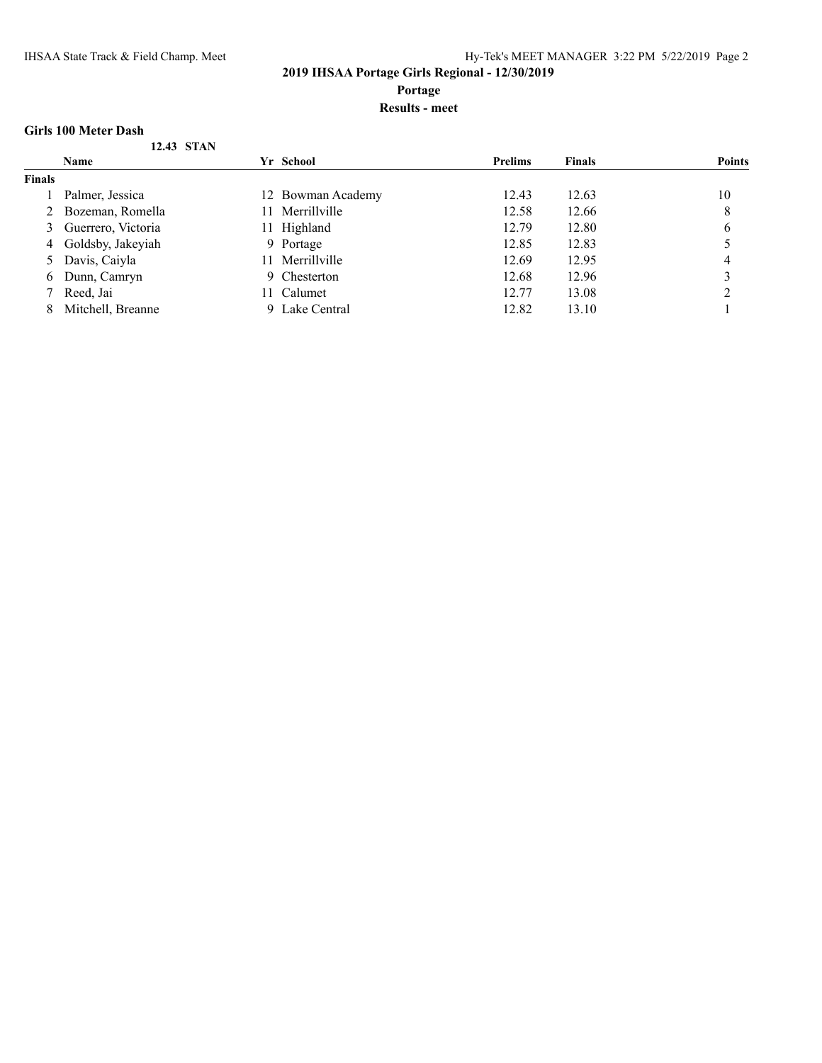**Portage**

#### **Results - meet**

#### **Girls 100 Meter Dash**

|               | 12.43 STAN          |     |                   |                |               |               |
|---------------|---------------------|-----|-------------------|----------------|---------------|---------------|
|               | <b>Name</b>         |     | Yr School         | <b>Prelims</b> | <b>Finals</b> | <b>Points</b> |
| <b>Finals</b> |                     |     |                   |                |               |               |
|               | Palmer, Jessica     |     | 12 Bowman Academy | 12.43          | 12.63         | 10            |
|               | 2 Bozeman, Romella  | 11. | Merrillville      | 12.58          | 12.66         | 8             |
| 3             | Guerrero, Victoria  | 11- | Highland          | 12.79          | 12.80         | 6             |
|               | 4 Goldsby, Jakeyiah |     | 9 Portage         | 12.85          | 12.83         |               |
|               | 5 Davis, Caiyla     |     | 11 Merrillville   | 12.69          | 12.95         | 4             |
| 6             | Dunn, Camryn        |     | 9 Chesterton      | 12.68          | 12.96         |               |
|               | Reed, Jai           |     | 11 Calumet        | 12.77          | 13.08         |               |
| 8             | Mitchell, Breanne   |     | 9 Lake Central    | 12.82          | 13.10         |               |
|               |                     |     |                   |                |               |               |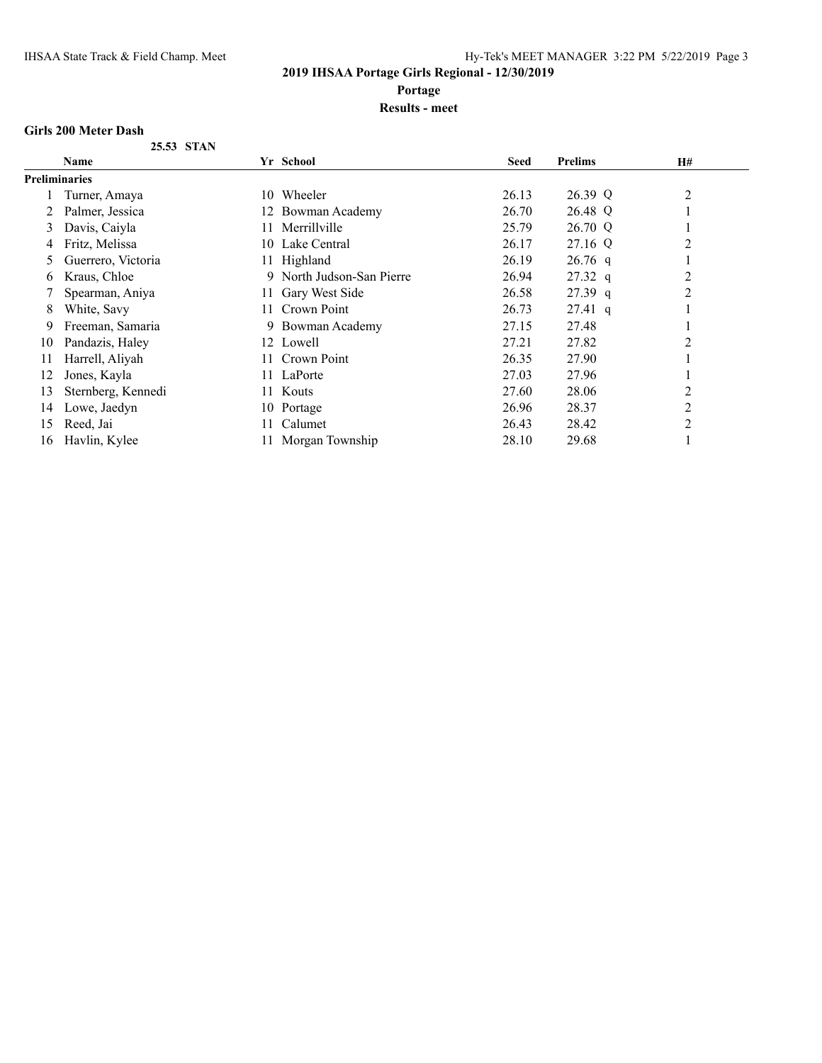**Portage**

#### **Results - meet**

#### **Girls 200 Meter Dash**

|  | 25.53 STAN |
|--|------------|
|  |            |

|                      | Name               |     | Yr School                 | <b>Seed</b> | <b>Prelims</b> | H# |
|----------------------|--------------------|-----|---------------------------|-------------|----------------|----|
| <b>Preliminaries</b> |                    |     |                           |             |                |    |
|                      | Turner, Amaya      |     | 10 Wheeler                | 26.13       | 26.39 Q        | 2  |
|                      | Palmer, Jessica    |     | 12 Bowman Academy         | 26.70       | 26.48 Q        |    |
| 3                    | Davis, Caiyla      | 11  | Merrillville              | 25.79       | 26.70 Q        |    |
| 4                    | Fritz, Melissa     |     | 10 Lake Central           | 26.17       | 27.16 Q        | 2  |
|                      | Guerrero, Victoria |     | 11 Highland               | 26.19       | $26.76$ q      |    |
| 6                    | Kraus, Chloe       |     | 9 North Judson-San Pierre | 26.94       | $27.32\ q$     | 2  |
|                      | Spearman, Aniya    | 11. | Gary West Side            | 26.58       | $27.39$ q      | 2  |
| 8                    | White, Savy        | 11. | Crown Point               | 26.73       | $27.41$ q      |    |
| 9                    | Freeman, Samaria   |     | 9 Bowman Academy          | 27.15       | 27.48          |    |
| 10                   | Pandazis, Haley    |     | 12 Lowell                 | 27.21       | 27.82          | 2  |
| 11                   | Harrell, Aliyah    | 11. | Crown Point               | 26.35       | 27.90          |    |
| 12                   | Jones, Kayla       |     | 11 LaPorte                | 27.03       | 27.96          |    |
| 13                   | Sternberg, Kennedi | 11. | Kouts                     | 27.60       | 28.06          | 2  |
| 14                   | Lowe, Jaedyn       |     | 10 Portage                | 26.96       | 28.37          | 2  |
| 15                   | Reed, Jai          |     | Calumet                   | 26.43       | 28.42          | 2  |
| 16                   | Havlin, Kylee      |     | 11 Morgan Township        | 28.10       | 29.68          |    |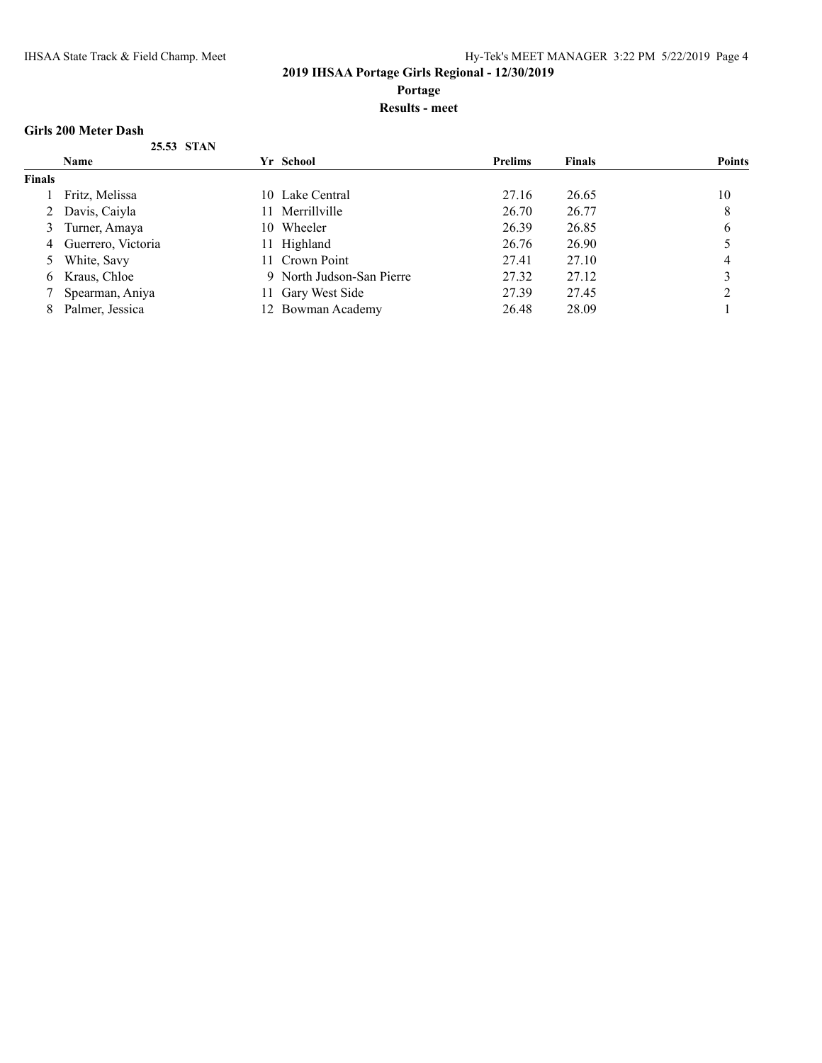**Portage**

#### **Results - meet**

#### **Girls 200 Meter Dash**

|        | 25.53 STAN           |     |                           |                |               |               |
|--------|----------------------|-----|---------------------------|----------------|---------------|---------------|
|        | <b>Name</b>          |     | Yr School                 | <b>Prelims</b> | <b>Finals</b> | <b>Points</b> |
| Finals |                      |     |                           |                |               |               |
|        | Fritz, Melissa       |     | 10 Lake Central           | 27.16          | 26.65         | 10            |
|        | 2 Davis, Caiyla      |     | Merrillville              | 26.70          | 26.77         | 8             |
| 3      | Turner, Amaya        | 10. | Wheeler                   | 26.39          | 26.85         | 6             |
|        | 4 Guerrero, Victoria |     | 11 Highland               | 26.76          | 26.90         |               |
|        | White, Savy          |     | 11 Crown Point            | 27.41          | 27.10         | 4             |
| 6      | Kraus, Chloe         |     | 9 North Judson-San Pierre | 27.32          | 27.12         |               |
|        | Spearman, Aniya      |     | 11 Gary West Side         | 27.39          | 27.45         |               |
| 8      | Palmer, Jessica      |     | 12 Bowman Academy         | 26.48          | 28.09         |               |
|        |                      |     |                           |                |               |               |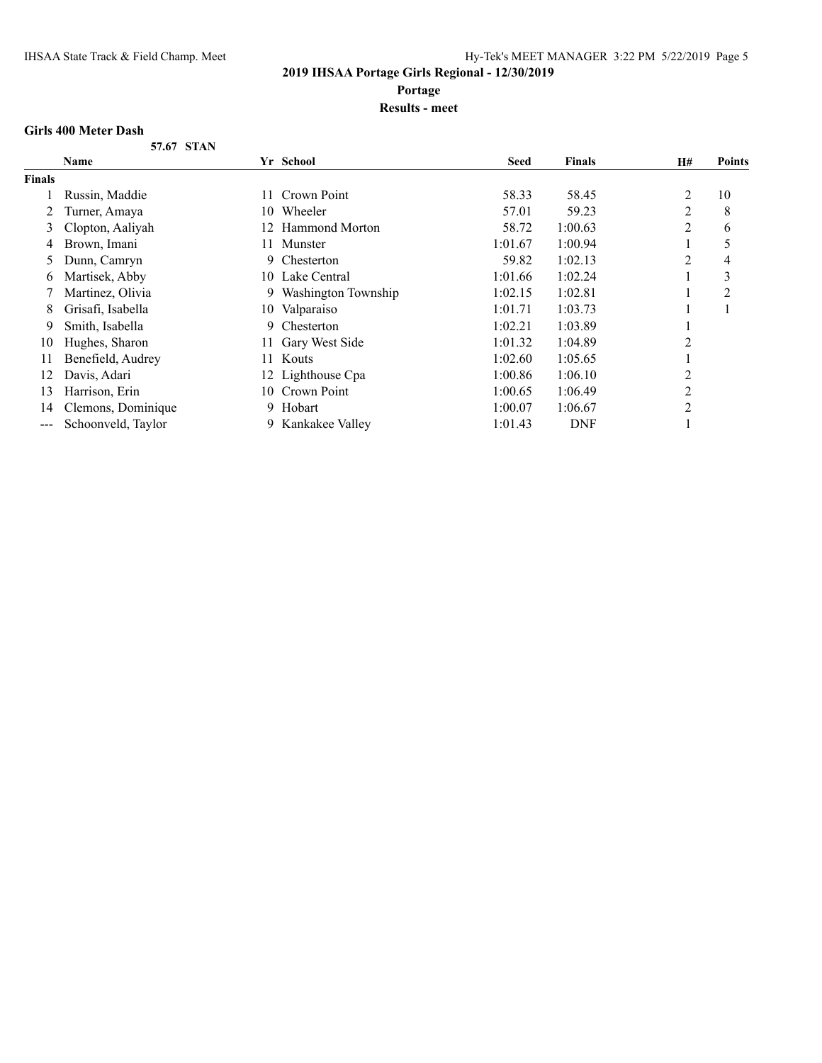**Portage**

#### **Results - meet**

#### **Girls 400 Meter Dash**

**57.67 STAN**

|               | Name               |     | Yr School             | <b>Seed</b> | <b>Finals</b> | H#             | <b>Points</b>  |
|---------------|--------------------|-----|-----------------------|-------------|---------------|----------------|----------------|
| <b>Finals</b> |                    |     |                       |             |               |                |                |
|               | Russin, Maddie     | 11  | Crown Point           | 58.33       | 58.45         | 2              | 10             |
|               | Turner, Amaya      | 10  | Wheeler               | 57.01       | 59.23         | 2              | 8              |
| 3             | Clopton, Aaliyah   | 12  | Hammond Morton        | 58.72       | 1:00.63       | 2              | 6              |
| 4             | Brown, Imani       | 11. | Munster               | 1:01.67     | 1:00.94       |                | 5              |
| $\mathcal{L}$ | Dunn, Camryn       | 9   | Chesterton            | 59.82       | 1:02.13       | 2              | 4              |
| 6.            | Martisek, Abby     |     | 10 Lake Central       | 1:01.66     | 1:02.24       |                | 3              |
|               | Martinez, Olivia   |     | 9 Washington Township | 1:02.15     | 1:02.81       |                | $\overline{2}$ |
| 8             | Grisafi, Isabella  |     | 10 Valparaiso         | 1:01.71     | 1:03.73       |                |                |
| 9             | Smith, Isabella    | 9   | Chesterton            | 1:02.21     | 1:03.89       |                |                |
| 10            | Hughes, Sharon     | 11- | Gary West Side        | 1:01.32     | 1:04.89       | 2              |                |
| 11            | Benefield, Audrey  | 11  | Kouts                 | 1:02.60     | 1:05.65       |                |                |
| 12            | Davis, Adari       |     | 12 Lighthouse Cpa     | 1:00.86     | 1:06.10       | $\overline{2}$ |                |
| 13            | Harrison, Erin     | 10- | Crown Point           | 1:00.65     | 1:06.49       | 2              |                |
| 14            | Clemons, Dominique | 9.  | Hobart                | 1:00.07     | 1:06.67       | $\overline{2}$ |                |
| $--$          | Schoonveld, Taylor |     | 9 Kankakee Valley     | 1:01.43     | <b>DNF</b>    |                |                |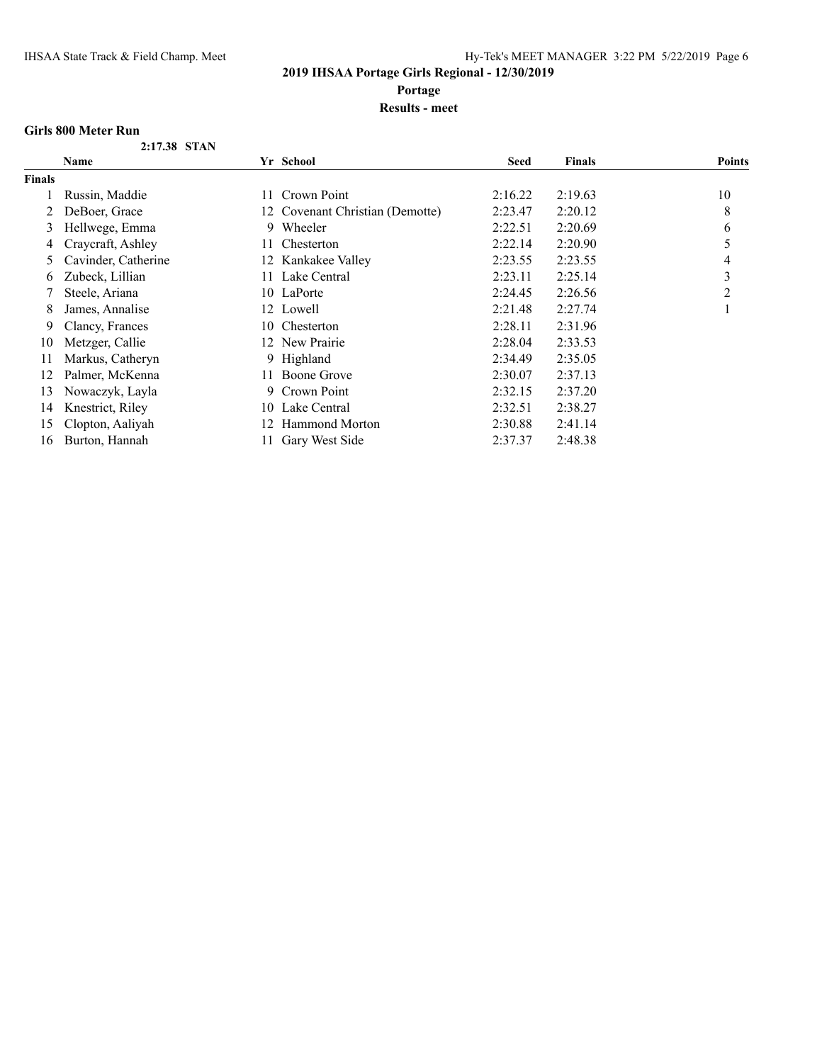**Portage**

**Results - meet**

#### **Girls 800 Meter Run**

| 2:17.38 STAN |  |
|--------------|--|
|              |  |

|               | Name                |     | Yr School                       | <b>Seed</b> | <b>Finals</b> | <b>Points</b> |
|---------------|---------------------|-----|---------------------------------|-------------|---------------|---------------|
| <b>Finals</b> |                     |     |                                 |             |               |               |
|               | Russin, Maddie      | 11. | Crown Point                     | 2:16.22     | 2:19.63       | 10            |
| 2             | DeBoer, Grace       |     | 12 Covenant Christian (Demotte) | 2:23.47     | 2:20.12       | 8             |
| 3             | Hellwege, Emma      | 9   | Wheeler                         | 2:22.51     | 2:20.69       | 6             |
| 4             | Craycraft, Ashley   | 11. | Chesterton                      | 2:22.14     | 2:20.90       | 5             |
|               | Cavinder, Catherine |     | 12 Kankakee Valley              | 2:23.55     | 2:23.55       | 4             |
| 6             | Zubeck, Lillian     | 11. | Lake Central                    | 2:23.11     | 2:25.14       | 3             |
|               | Steele, Ariana      |     | 10 LaPorte                      | 2:24.45     | 2:26.56       | 2             |
| 8             | James, Annalise     |     | 12 Lowell                       | 2:21.48     | 2:27.74       |               |
| 9             | Clancy, Frances     | 10- | Chesterton                      | 2:28.11     | 2:31.96       |               |
| 10            | Metzger, Callie     |     | 12 New Prairie                  | 2:28.04     | 2:33.53       |               |
| 11            | Markus, Catheryn    |     | 9 Highland                      | 2:34.49     | 2:35.05       |               |
| 12            | Palmer, McKenna     | 11. | Boone Grove                     | 2:30.07     | 2:37.13       |               |
| 13            | Nowaczyk, Layla     | 9.  | Crown Point                     | 2:32.15     | 2:37.20       |               |
| 14            | Knestrict, Riley    |     | 10 Lake Central                 | 2:32.51     | 2:38.27       |               |
| 15            | Clopton, Aaliyah    |     | 12 Hammond Morton               | 2:30.88     | 2:41.14       |               |
| 16            | Burton, Hannah      | 11. | Gary West Side                  | 2:37.37     | 2:48.38       |               |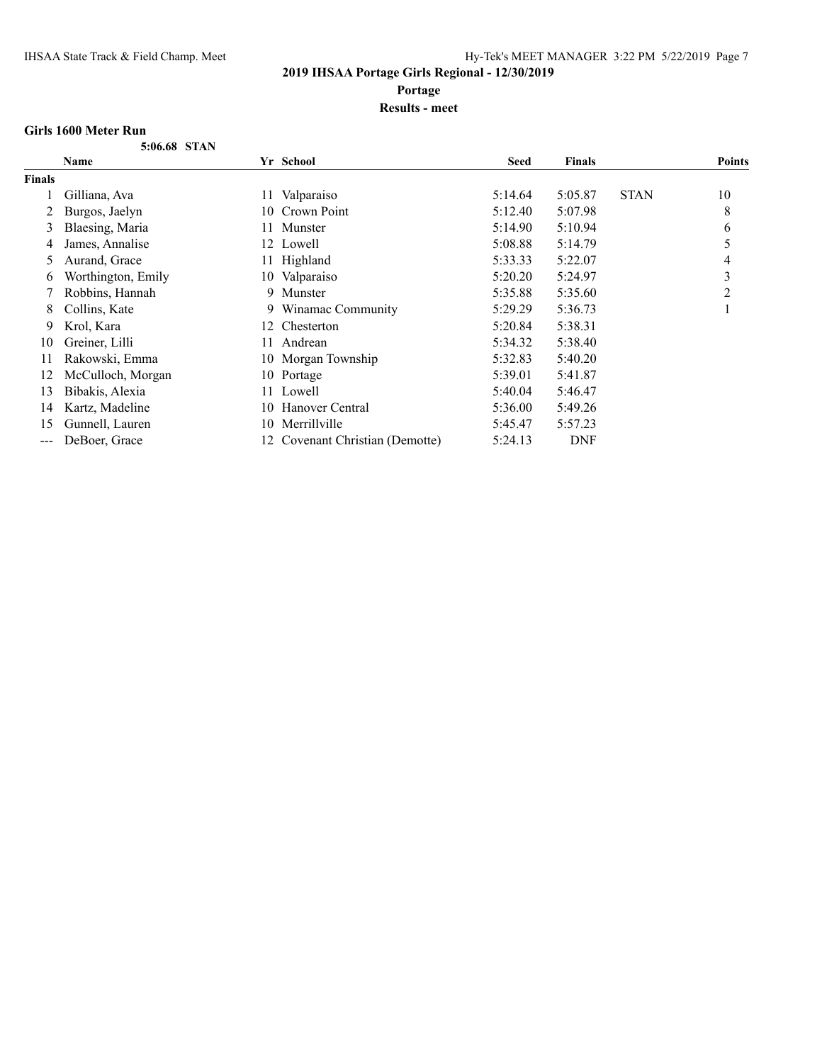**Portage**

#### **Results - meet**

#### **Girls 1600 Meter Run**

**5:06.68 STAN**

|                   | <b>Name</b>        |     | Yr School                       | <b>Seed</b> | <b>Finals</b> |             | <b>Points</b> |
|-------------------|--------------------|-----|---------------------------------|-------------|---------------|-------------|---------------|
| <b>Finals</b>     |                    |     |                                 |             |               |             |               |
|                   | Gilliana, Ava      | 11  | Valparaiso                      | 5:14.64     | 5:05.87       | <b>STAN</b> | 10            |
|                   | Burgos, Jaelyn     | 10  | Crown Point                     | 5:12.40     | 5:07.98       |             | 8             |
| 3                 | Blaesing, Maria    | 11. | Munster                         | 5:14.90     | 5:10.94       |             | 6             |
| 4                 | James, Annalise    |     | 12 Lowell                       | 5:08.88     | 5:14.79       |             |               |
| 5                 | Aurand, Grace      | 11  | Highland                        | 5:33.33     | 5:22.07       |             | 4             |
| 6                 | Worthington, Emily |     | 10 Valparaiso                   | 5:20.20     | 5:24.97       |             | 3             |
|                   | Robbins, Hannah    |     | 9 Munster                       | 5:35.88     | 5:35.60       |             | 2             |
| 8                 | Collins, Kate      |     | 9 Winamac Community             | 5:29.29     | 5:36.73       |             |               |
| 9.                | Krol, Kara         | 12  | Chesterton                      | 5:20.84     | 5:38.31       |             |               |
| 10                | Greiner, Lilli     | 11  | Andrean                         | 5:34.32     | 5:38.40       |             |               |
| 11                | Rakowski, Emma     |     | 10 Morgan Township              | 5:32.83     | 5:40.20       |             |               |
| 12                | McCulloch, Morgan  | 10  | Portage                         | 5:39.01     | 5:41.87       |             |               |
| 13                | Bibakis, Alexia    | 11  | Lowell                          | 5:40.04     | 5:46.47       |             |               |
| 14                | Kartz, Madeline    |     | 10 Hanover Central              | 5:36.00     | 5:49.26       |             |               |
| 15                | Gunnell, Lauren    |     | 10 Merrillville                 | 5:45.47     | 5:57.23       |             |               |
| $\qquad \qquad -$ | DeBoer, Grace      |     | 12 Covenant Christian (Demotte) | 5:24.13     | <b>DNF</b>    |             |               |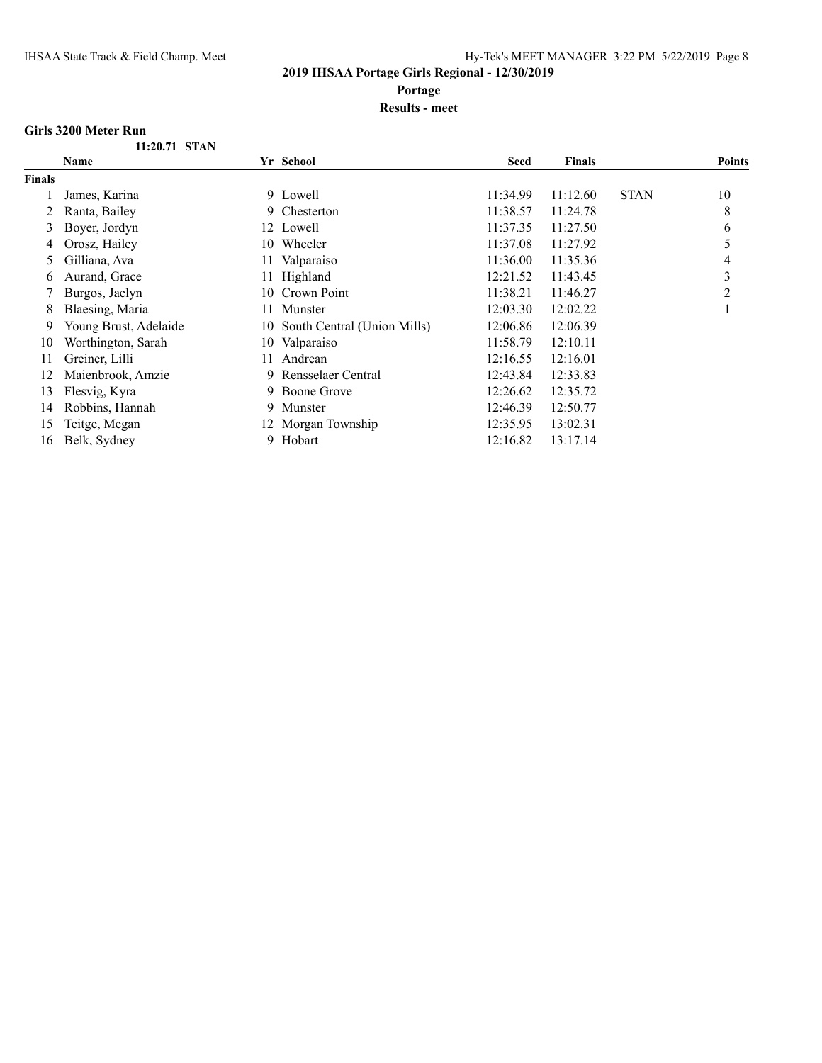**Portage**

**Results - meet**

#### **Girls 3200 Meter Run**

| 11:20.71 STAN |  |
|---------------|--|
|               |  |

|               | <b>Name</b>           |     | Yr School                      | <b>Seed</b> | <b>Finals</b> |             | <b>Points</b> |
|---------------|-----------------------|-----|--------------------------------|-------------|---------------|-------------|---------------|
| <b>Finals</b> |                       |     |                                |             |               |             |               |
|               | James, Karina         |     | 9 Lowell                       | 11:34.99    | 11:12.60      | <b>STAN</b> | 10            |
| 2             | Ranta, Bailey         |     | 9 Chesterton                   | 11:38.57    | 11:24.78      |             | 8             |
| 3             | Boyer, Jordyn         |     | 12 Lowell                      | 11:37.35    | 11:27.50      |             | 6             |
| 4             | Orosz, Hailey         | 10- | Wheeler                        | 11:37.08    | 11:27.92      |             | 5             |
| 5             | Gilliana, Ava         |     | 11 Valparaiso                  | 11:36.00    | 11:35.36      |             | 4             |
| 6             | Aurand, Grace         |     | 11 Highland                    | 12:21.52    | 11:43.45      |             | 3             |
|               | Burgos, Jaelyn        | 10- | Crown Point                    | 11:38.21    | 11:46.27      |             | 2             |
| 8             | Blaesing, Maria       | 11. | Munster                        | 12:03.30    | 12:02.22      |             |               |
| 9             | Young Brust, Adelaide |     | 10 South Central (Union Mills) | 12:06.86    | 12:06.39      |             |               |
| 10            | Worthington, Sarah    |     | 10 Valparaiso                  | 11:58.79    | 12:10.11      |             |               |
| 11            | Greiner, Lilli        |     | 11 Andrean                     | 12:16.55    | 12:16.01      |             |               |
| 12            | Maienbrook, Amzie     | 9.  | Rensselaer Central             | 12:43.84    | 12:33.83      |             |               |
| 13            | Flesvig, Kyra         | 9.  | Boone Grove                    | 12:26.62    | 12:35.72      |             |               |
| 14            | Robbins, Hannah       |     | 9 Munster                      | 12:46.39    | 12:50.77      |             |               |
| 15            | Teitge, Megan         |     | 12 Morgan Township             | 12:35.95    | 13:02.31      |             |               |
| 16            | Belk, Sydney          |     | 9 Hobart                       | 12:16.82    | 13:17.14      |             |               |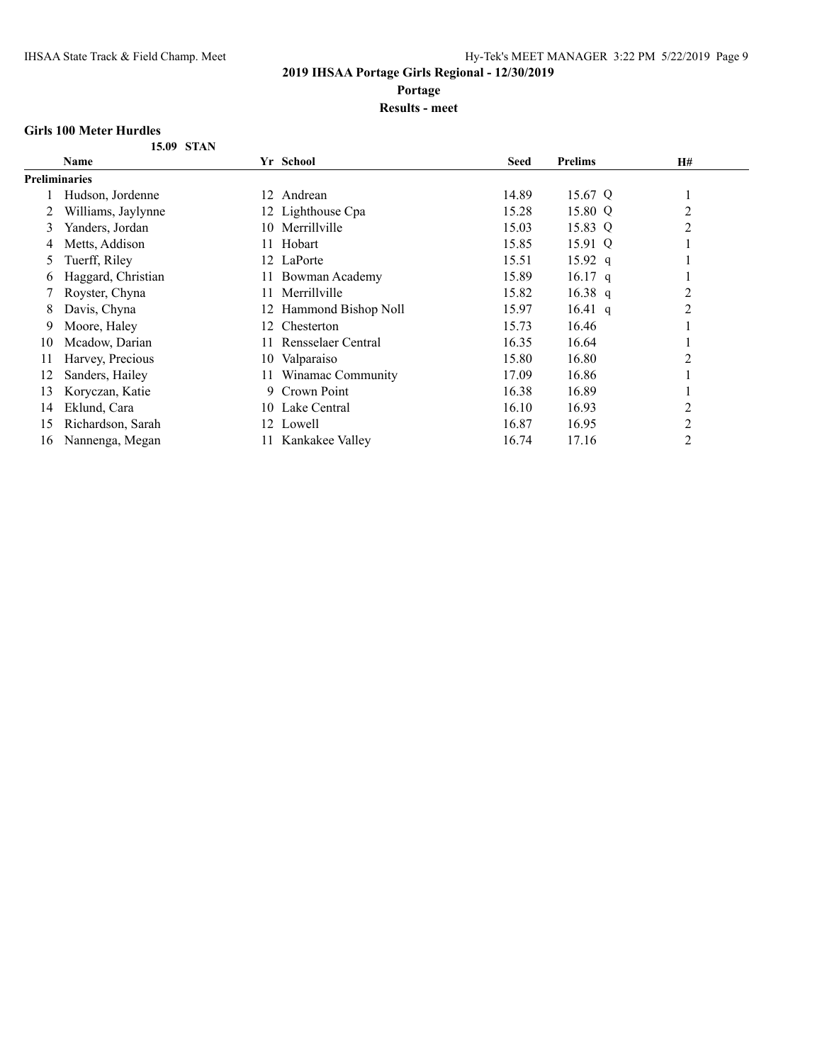**Portage**

#### **Results - meet**

#### **Girls 100 Meter Hurdles**

|  | <b>15.09 STAN</b> |
|--|-------------------|
|  |                   |

|               | Name               | Yr School                 | <b>Seed</b> | <b>Prelims</b> | H#             |  |
|---------------|--------------------|---------------------------|-------------|----------------|----------------|--|
| Preliminaries |                    |                           |             |                |                |  |
|               | Hudson, Jordenne   | Andrean<br>12.            | 14.89       | 15.67 Q        | 1              |  |
|               | Williams, Jaylynne | 12 Lighthouse Cpa         | 15.28       | 15.80 Q        | $\overline{c}$ |  |
| 3             | Yanders, Jordan    | Merrillville<br>10.       | 15.03       | 15.83 Q        | 2              |  |
| 4             | Metts, Addison     | Hobart<br>11              | 15.85       | 15.91 Q        |                |  |
| 5             | Tuerff, Riley      | 12 LaPorte                | 15.51       | $15.92$ q      |                |  |
| 6             | Haggard, Christian | Bowman Academy            | 15.89       | $16.17$ q      |                |  |
|               | Royster, Chyna     | Merrillville              | 15.82       | 16.38 $q$      | $\overline{2}$ |  |
| 8             | Davis, Chyna       | 12 Hammond Bishop Noll    | 15.97       | 16.41 $q$      | $\overline{2}$ |  |
| 9             | Moore, Haley       | Chesterton<br>12.         | 15.73       | 16.46          |                |  |
| 10            | Mcadow, Darian     | Rensselaer Central<br>11. | 16.35       | 16.64          |                |  |
| 11            | Harvey, Precious   | Valparaiso<br>10-         | 15.80       | 16.80          | 2              |  |
| 12            | Sanders, Hailey    | Winamac Community         | 17.09       | 16.86          |                |  |
| 13            | Koryczan, Katie    | Crown Point<br>9.         | 16.38       | 16.89          |                |  |
| 14            | Eklund, Cara       | Lake Central<br>10.       | 16.10       | 16.93          | 2              |  |
| 15            | Richardson, Sarah  | 12 Lowell                 | 16.87       | 16.95          | 2              |  |
| 16            | Nannenga, Megan    | Kankakee Valley           | 16.74       | 17.16          | $\overline{c}$ |  |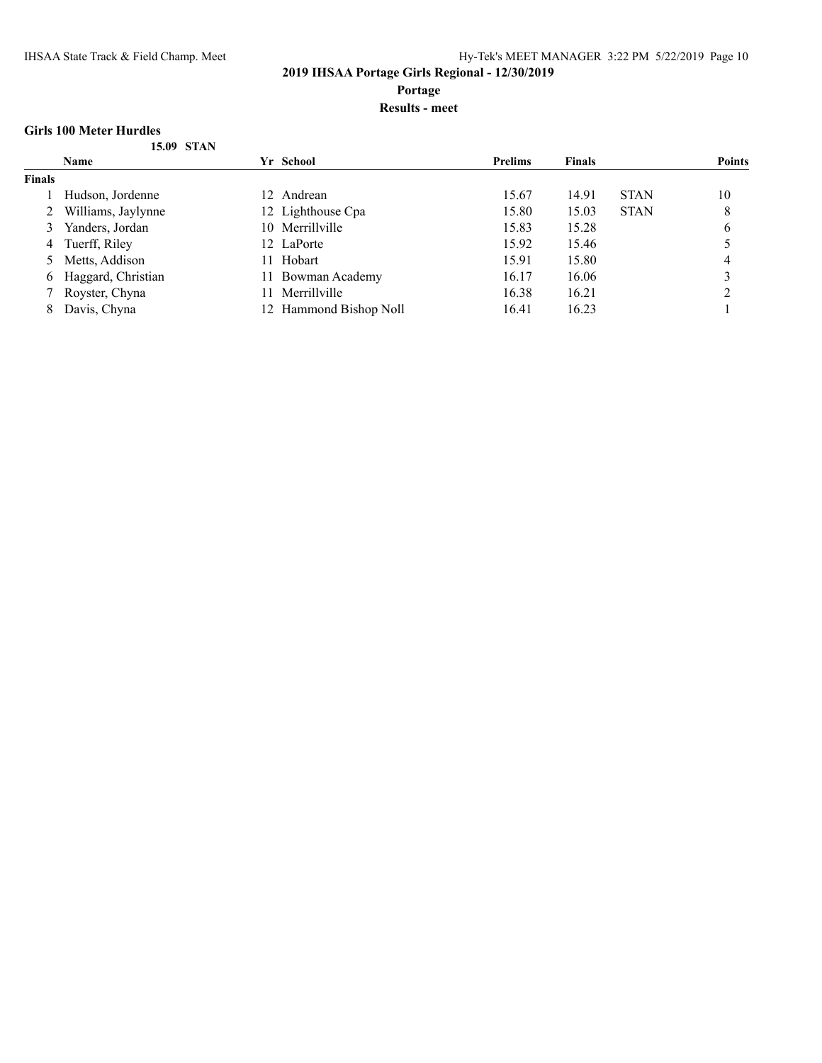**Portage**

#### **Results - meet**

#### **Girls 100 Meter Hurdles**

|  | 15.09 STAN |
|--|------------|

| Name               |                                                         |                     | <b>Prelims</b>                                                                | <b>Finals</b> |             | <b>Points</b> |
|--------------------|---------------------------------------------------------|---------------------|-------------------------------------------------------------------------------|---------------|-------------|---------------|
|                    |                                                         |                     |                                                                               |               |             |               |
| Hudson, Jordenne   |                                                         |                     | 15.67                                                                         | 14.91         | <b>STAN</b> | 10            |
| Williams, Jaylynne |                                                         |                     | 15.80                                                                         | 15.03         | <b>STAN</b> | 8             |
| Yanders, Jordan    |                                                         |                     | 15.83                                                                         | 15.28         |             | 6             |
|                    |                                                         |                     | 15.92                                                                         | 15.46         |             |               |
|                    | $\mathbf{11}$                                           | Hobart              | 15.91                                                                         | 15.80         |             | 4             |
|                    | 11                                                      | Bowman Academy      | 16.17                                                                         | 16.06         |             |               |
| Royster, Chyna     |                                                         | Merrillville        | 16.38                                                                         | 16.21         |             |               |
| Davis, Chyna       |                                                         | Hammond Bishop Noll | 16.41                                                                         | 16.23         |             |               |
|                    | Tuerff, Riley<br>5 Metts, Addison<br>Haggard, Christian |                     | Yr School<br>12 Andrean<br>12 Lighthouse Cpa<br>10 Merrillville<br>12 LaPorte |               |             |               |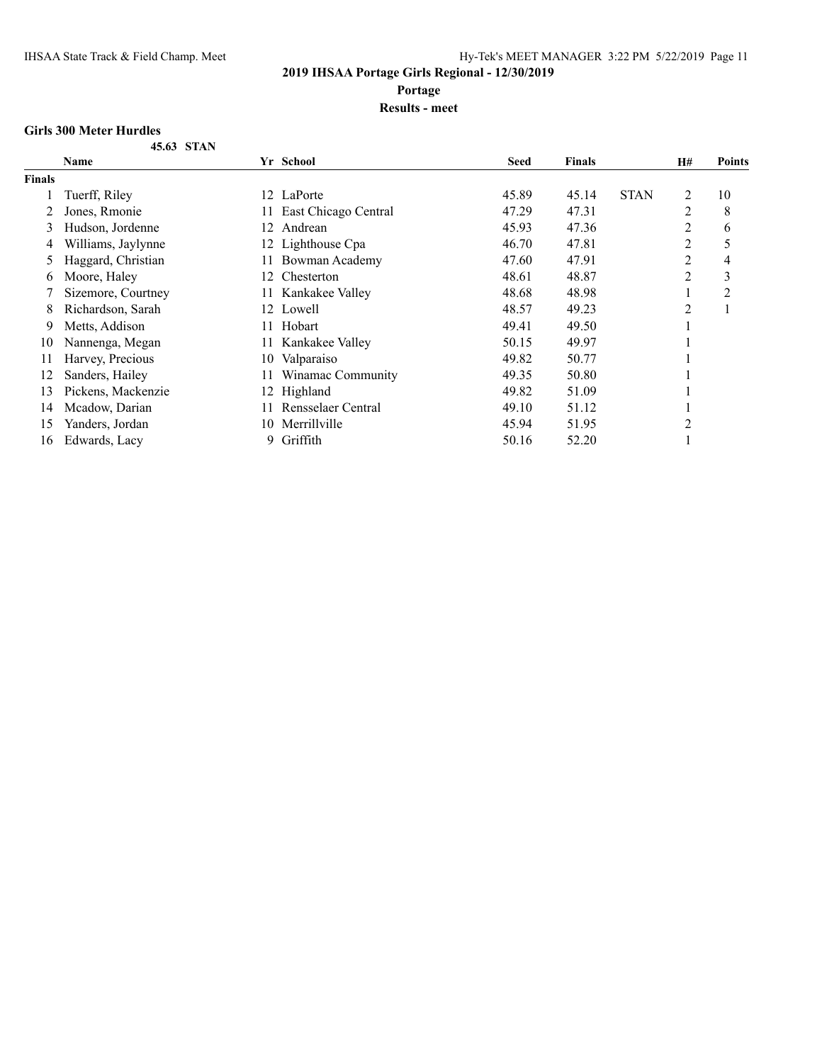**Portage**

#### **Results - meet**

#### **Girls 300 Meter Hurdles**

**45.63 STAN**

| <b>Name</b>        |     | <b>Seed</b>                                                                                                                                                                                                                                                                                  | <b>Finals</b> |             | <b>H#</b>      | <b>Points</b>  |
|--------------------|-----|----------------------------------------------------------------------------------------------------------------------------------------------------------------------------------------------------------------------------------------------------------------------------------------------|---------------|-------------|----------------|----------------|
|                    |     |                                                                                                                                                                                                                                                                                              |               |             |                |                |
| Tuerff, Riley      |     | 45.89                                                                                                                                                                                                                                                                                        | 45.14         | <b>STAN</b> | 2              | 10             |
| Jones, Rmonie      |     | 47.29                                                                                                                                                                                                                                                                                        | 47.31         |             | $\overline{2}$ | 8              |
| Hudson, Jordenne   | 12  | 45.93                                                                                                                                                                                                                                                                                        | 47.36         |             | $\overline{c}$ | 6              |
| Williams, Jaylynne |     | 46.70                                                                                                                                                                                                                                                                                        | 47.81         |             | $\overline{2}$ | 5              |
| Haggard, Christian | 11. | 47.60                                                                                                                                                                                                                                                                                        | 47.91         |             | 2              | 4              |
| Moore, Haley       | 12. | 48.61                                                                                                                                                                                                                                                                                        | 48.87         |             | 2              | 3              |
| Sizemore, Courtney |     | 48.68                                                                                                                                                                                                                                                                                        | 48.98         |             |                | $\overline{2}$ |
| Richardson, Sarah  |     | 48.57                                                                                                                                                                                                                                                                                        | 49.23         |             | $\overline{2}$ |                |
| Metts, Addison     | 11- | 49.41                                                                                                                                                                                                                                                                                        | 49.50         |             |                |                |
| Nannenga, Megan    |     | 50.15                                                                                                                                                                                                                                                                                        | 49.97         |             |                |                |
| Harvey, Precious   |     | 49.82                                                                                                                                                                                                                                                                                        | 50.77         |             |                |                |
| Sanders, Hailey    |     | 49.35                                                                                                                                                                                                                                                                                        | 50.80         |             |                |                |
| Pickens, Mackenzie |     | 49.82                                                                                                                                                                                                                                                                                        | 51.09         |             |                |                |
| Mcadow, Darian     |     | 49.10                                                                                                                                                                                                                                                                                        | 51.12         |             |                |                |
| Yanders, Jordan    | 10- | 45.94                                                                                                                                                                                                                                                                                        | 51.95         |             | $\overline{2}$ |                |
| Edwards, Lacy      | 9.  | 50.16                                                                                                                                                                                                                                                                                        | 52.20         |             |                |                |
|                    |     | Yr School<br>12 LaPorte<br>11 East Chicago Central<br>Andrean<br>12 Lighthouse Cpa<br>Bowman Academy<br>Chesterton<br>11 Kankakee Valley<br>12 Lowell<br>Hobart<br>11 Kankakee Valley<br>10 Valparaiso<br>Winamac Community<br>12 Highland<br>Rensselaer Central<br>Merrillville<br>Griffith |               |             |                |                |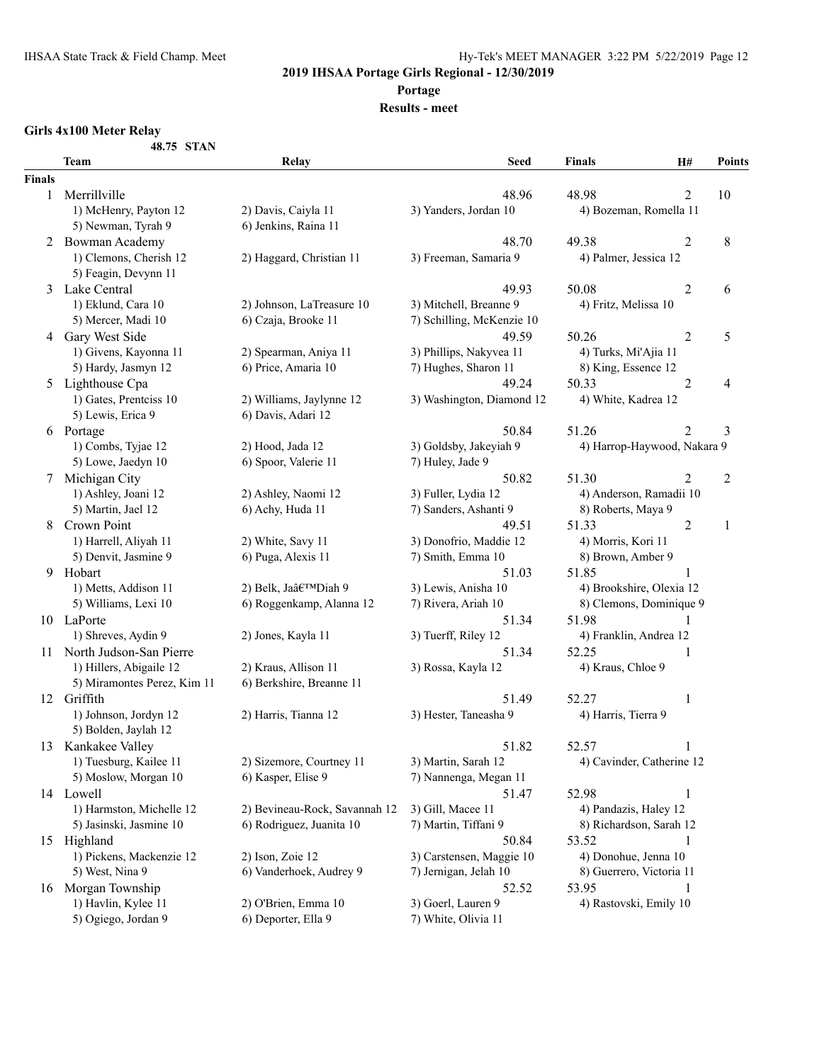**Portage**

#### **Results - meet**

#### **Girls 4x100 Meter Relay**

**48.75 STAN**

|               | 40./J JIAN<br><b>Team</b>   | Relay                         | Seed                      | <b>Finals</b>               | H#             | <b>Points</b> |
|---------------|-----------------------------|-------------------------------|---------------------------|-----------------------------|----------------|---------------|
| <b>Finals</b> |                             |                               |                           |                             |                |               |
| $\mathbf{1}$  | Merrillville                |                               | 48.96                     | 48.98                       | $\overline{c}$ | 10            |
|               | 1) McHenry, Payton 12       | 2) Davis, Caiyla 11           | 3) Yanders, Jordan 10     | 4) Bozeman, Romella 11      |                |               |
|               | 5) Newman, Tyrah 9          | 6) Jenkins, Raina 11          |                           |                             |                |               |
|               | 2 Bowman Academy            |                               | 48.70                     | 49.38                       | $\overline{2}$ | $8\,$         |
|               | 1) Clemons, Cherish 12      | 2) Haggard, Christian 11      | 3) Freeman, Samaria 9     | 4) Palmer, Jessica 12       |                |               |
|               | 5) Feagin, Devynn 11        |                               |                           |                             |                |               |
| 3             | Lake Central                |                               | 49.93                     | 50.08                       | $\overline{2}$ | 6             |
|               | 1) Eklund, Cara 10          | 2) Johnson, LaTreasure 10     | 3) Mitchell, Breanne 9    | 4) Fritz, Melissa 10        |                |               |
|               | 5) Mercer, Madi 10          | 6) Czaja, Brooke 11           | 7) Schilling, McKenzie 10 |                             |                |               |
| 4             | Gary West Side              |                               | 49.59                     | 50.26                       | $\overline{2}$ | 5             |
|               | 1) Givens, Kayonna 11       | 2) Spearman, Aniya 11         | 3) Phillips, Nakyvea 11   | 4) Turks, Mi'Ajia 11        |                |               |
|               | 5) Hardy, Jasmyn 12         | 6) Price, Amaria 10           | 7) Hughes, Sharon 11      | 8) King, Essence 12         |                |               |
|               | 5 Lighthouse Cpa            |                               | 49.24                     | 50.33                       | $\overline{2}$ | 4             |
|               | 1) Gates, Prentciss 10      | 2) Williams, Jaylynne 12      | 3) Washington, Diamond 12 | 4) White, Kadrea 12         |                |               |
|               | 5) Lewis, Erica 9           | 6) Davis, Adari 12            |                           |                             |                |               |
|               | 6 Portage                   |                               | 50.84                     | 51.26                       | 2              | 3             |
|               | 1) Combs, Tyjae 12          | 2) Hood, Jada 12              | 3) Goldsby, Jakeyiah 9    | 4) Harrop-Haywood, Nakara 9 |                |               |
|               | 5) Lowe, Jaedyn 10          | 6) Spoor, Valerie 11          | 7) Huley, Jade 9          |                             |                |               |
| 7             | Michigan City               |                               | 50.82                     | 51.30                       | 2              | 2             |
|               | 1) Ashley, Joani 12         | 2) Ashley, Naomi 12           | 3) Fuller, Lydia 12       | 4) Anderson, Ramadii 10     |                |               |
|               | 5) Martin, Jael 12          | 6) Achy, Huda 11              | 7) Sanders, Ashanti 9     | 8) Roberts, Maya 9          |                |               |
| 8             | Crown Point                 |                               | 49.51                     | 51.33                       | 2              | 1             |
|               | 1) Harrell, Aliyah 11       | 2) White, Savy 11             | 3) Donofrio, Maddie 12    | 4) Morris, Kori 11          |                |               |
|               | 5) Denvit, Jasmine 9        | 6) Puga, Alexis 11            | 7) Smith, Emma 10         | 8) Brown, Amber 9           |                |               |
|               | 9 Hobart                    |                               | 51.03                     | 51.85                       | 1              |               |
|               | 1) Metts, Addison 11        | 2) Belk, Ja'Diah 9            | 3) Lewis, Anisha 10       | 4) Brookshire, Olexia 12    |                |               |
|               | 5) Williams, Lexi 10        | 6) Roggenkamp, Alanna 12      | 7) Rivera, Ariah 10       | 8) Clemons, Dominique 9     |                |               |
|               | 10 LaPorte                  |                               | 51.34                     | 51.98                       | 1              |               |
|               | 1) Shreves, Aydin 9         | 2) Jones, Kayla 11            | 3) Tuerff, Riley 12       | 4) Franklin, Andrea 12      |                |               |
|               | 11 North Judson-San Pierre  |                               | 51.34                     | 52.25                       | 1              |               |
|               | 1) Hillers, Abigaile 12     | 2) Kraus, Allison 11          | 3) Rossa, Kayla 12        | 4) Kraus, Chloe 9           |                |               |
|               | 5) Miramontes Perez, Kim 11 | 6) Berkshire, Breanne 11      |                           |                             |                |               |
|               | 12 Griffith                 |                               | 51.49                     | 52.27                       | 1              |               |
|               | 1) Johnson, Jordyn 12       | 2) Harris, Tianna 12          | 3) Hester, Taneasha 9     | 4) Harris, Tierra 9         |                |               |
|               | 5) Bolden, Jaylah 12        |                               |                           |                             |                |               |
|               | 13 Kankakee Valley          |                               | 51.82                     | 52.57                       |                |               |
|               | 1) Tuesburg, Kailee 11      | 2) Sizemore, Courtney 11      | 3) Martin, Sarah 12       | 4) Cavinder, Catherine 12   |                |               |
|               | 5) Moslow, Morgan 10        | 6) Kasper, Elise 9            | 7) Nannenga, Megan 11     |                             |                |               |
|               | 14 Lowell                   |                               | 51.47                     | 52.98                       | 1              |               |
|               | 1) Harmston, Michelle 12    | 2) Bevineau-Rock, Savannah 12 | 3) Gill, Macee 11         | 4) Pandazis, Haley 12       |                |               |
|               | 5) Jasinski, Jasmine 10     | 6) Rodriguez, Juanita 10      | 7) Martin, Tiffani 9      | 8) Richardson, Sarah 12     |                |               |
| 15            | Highland                    |                               | 50.84                     | 53.52                       |                |               |
|               | 1) Pickens, Mackenzie 12    | 2) Ison, Zoie 12              | 3) Carstensen, Maggie 10  | 4) Donohue, Jenna 10        |                |               |
|               | 5) West, Nina 9             | 6) Vanderhoek, Audrey 9       | 7) Jernigan, Jelah 10     | 8) Guerrero, Victoria 11    |                |               |
|               | 16 Morgan Township          |                               | 52.52                     | 53.95                       | 1              |               |
|               | 1) Havlin, Kylee 11         | 2) O'Brien, Emma 10           | 3) Goerl, Lauren 9        | 4) Rastovski, Emily 10      |                |               |
|               | 5) Ogiego, Jordan 9         | 6) Deporter, Ella 9           | 7) White, Olivia 11       |                             |                |               |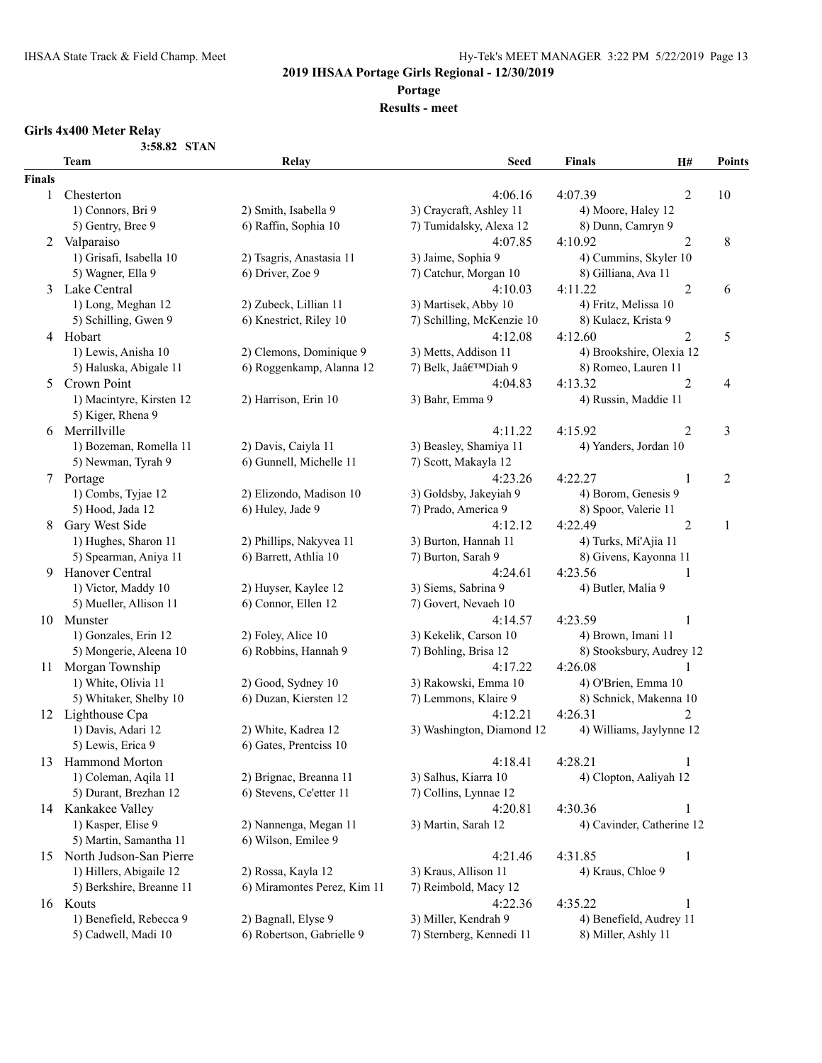**Portage**

#### **Results - meet**

# **Girls 4x400 Meter Relay**

**3:58.82 STAN**

|               | Team                       | Relay                       | <b>Seed</b>               | <b>Finals</b>             | H#             | <b>Points</b>  |
|---------------|----------------------------|-----------------------------|---------------------------|---------------------------|----------------|----------------|
| <b>Finals</b> |                            |                             |                           |                           |                |                |
| 1             | Chesterton                 |                             | 4:06.16                   | 4:07.39                   | 2              | 10             |
|               | 1) Connors, Bri 9          | 2) Smith, Isabella 9        | 3) Craycraft, Ashley 11   | 4) Moore, Haley 12        |                |                |
|               | 5) Gentry, Bree 9          | 6) Raffin, Sophia 10        | 7) Tumidalsky, Alexa 12   | 8) Dunn, Camryn 9         |                |                |
| 2             | Valparaiso                 |                             | 4:07.85                   | 4:10.92                   | 2              | $\,8$          |
|               | 1) Grisafi, Isabella 10    | 2) Tsagris, Anastasia 11    | 3) Jaime, Sophia 9        | 4) Cummins, Skyler 10     |                |                |
|               | 5) Wagner, Ella 9          | 6) Driver, Zoe 9            | 7) Catchur, Morgan 10     | 8) Gilliana, Ava 11       |                |                |
| 3             | Lake Central               |                             | 4:10.03                   | 4:11.22                   | $\overline{2}$ | 6              |
|               | 1) Long, Meghan 12         | 2) Zubeck, Lillian 11       | 3) Martisek, Abby 10      | 4) Fritz, Melissa 10      |                |                |
|               | 5) Schilling, Gwen 9       | 6) Knestrict, Riley 10      | 7) Schilling, McKenzie 10 | 8) Kulacz, Krista 9       |                |                |
|               | 4 Hobart                   |                             | 4:12.08                   | 4:12.60                   | 2              | 5              |
|               | 1) Lewis, Anisha 10        | 2) Clemons, Dominique 9     | 3) Metts, Addison 11      | 4) Brookshire, Olexia 12  |                |                |
|               | 5) Haluska, Abigale 11     | 6) Roggenkamp, Alanna 12    | 7) Belk, Ja'Diah 9        | 8) Romeo, Lauren 11       |                |                |
| 5             | Crown Point                |                             | 4:04.83                   | 4:13.32                   | 2              | 4              |
|               | 1) Macintyre, Kirsten 12   | 2) Harrison, Erin 10        | 3) Bahr, Emma 9           | 4) Russin, Maddie 11      |                |                |
|               | 5) Kiger, Rhena 9          |                             |                           |                           |                |                |
|               | 6 Merrillville             |                             | 4:11.22                   | 4:15.92                   | $\overline{2}$ | 3              |
|               | 1) Bozeman, Romella 11     | 2) Davis, Caiyla 11         | 3) Beasley, Shamiya 11    | 4) Yanders, Jordan 10     |                |                |
|               | 5) Newman, Tyrah 9         | 6) Gunnell, Michelle 11     | 7) Scott, Makayla 12      |                           |                |                |
|               | 7 Portage                  |                             | 4:23.26                   | 4:22.27                   | $\mathbf{1}$   | $\overline{2}$ |
|               | 1) Combs, Tyjae 12         | 2) Elizondo, Madison 10     | 3) Goldsby, Jakeyiah 9    | 4) Borom, Genesis 9       |                |                |
|               | 5) Hood, Jada 12           | 6) Huley, Jade 9            | 7) Prado, America 9       | 8) Spoor, Valerie 11      |                |                |
| 8             | Gary West Side             |                             | 4:12.12                   | 4:22.49                   | $\overline{2}$ | 1              |
|               | 1) Hughes, Sharon 11       | 2) Phillips, Nakyvea 11     | 3) Burton, Hannah 11      | 4) Turks, Mi'Ajia 11      |                |                |
|               | 5) Spearman, Aniya 11      | 6) Barrett, Athlia 10       | 7) Burton, Sarah 9        | 8) Givens, Kayonna 11     |                |                |
| 9             | Hanover Central            |                             | 4:24.61                   | 4:23.56                   | 1              |                |
|               | 1) Victor, Maddy 10        | 2) Huyser, Kaylee 12        | 3) Siems, Sabrina 9       | 4) Butler, Malia 9        |                |                |
|               | 5) Mueller, Allison 11     | 6) Connor, Ellen 12         | 7) Govert, Nevaeh 10      |                           |                |                |
|               | 10 Munster                 |                             | 4:14.57                   | 4:23.59                   | 1              |                |
|               | 1) Gonzales, Erin 12       | 2) Foley, Alice 10          | 3) Kekelik, Carson 10     | 4) Brown, Imani 11        |                |                |
|               | 5) Mongerie, Aleena 10     | 6) Robbins, Hannah 9        | 7) Bohling, Brisa 12      | 8) Stooksbury, Audrey 12  |                |                |
| 11 -          | Morgan Township            |                             | 4:17.22                   | 4:26.08                   |                |                |
|               | 1) White, Olivia 11        | 2) Good, Sydney 10          | 3) Rakowski, Emma 10      | 4) O'Brien, Emma 10       |                |                |
|               | 5) Whitaker, Shelby 10     | 6) Duzan, Kiersten 12       | 7) Lemmons, Klaire 9      | 8) Schnick, Makenna 10    |                |                |
| 12            | Lighthouse Cpa             |                             | 4:12.21                   | 4:26.31                   | 2              |                |
|               | 1) Davis, Adari 12         | 2) White, Kadrea 12         | 3) Washington, Diamond 12 | 4) Williams, Jaylynne 12  |                |                |
|               | 5) Lewis, Erica 9          | 6) Gates, Prentciss 10      |                           |                           |                |                |
| 13            | Hammond Morton             |                             | 4:18.41                   | 4:28.21                   | $\mathbf{1}$   |                |
|               | 1) Coleman, Aqila 11       | 2) Brignac, Breanna 11      | 3) Salhus, Kiarra 10      | 4) Clopton, Aaliyah 12    |                |                |
|               | 5) Durant, Brezhan 12      | 6) Stevens, Ce'etter 11     | 7) Collins, Lynnae 12     |                           |                |                |
|               | 14 Kankakee Valley         |                             | 4:20.81                   | 4:30.36                   | $\mathbf{1}$   |                |
|               | 1) Kasper, Elise 9         | 2) Nannenga, Megan 11       | 3) Martin, Sarah 12       | 4) Cavinder, Catherine 12 |                |                |
|               | 5) Martin, Samantha 11     | 6) Wilson, Emilee 9         |                           |                           |                |                |
|               | 15 North Judson-San Pierre |                             | 4:21.46                   | 4:31.85                   | $\mathbf{1}$   |                |
|               | 1) Hillers, Abigaile 12    | 2) Rossa, Kayla 12          | 3) Kraus, Allison 11      | 4) Kraus, Chloe 9         |                |                |
|               | 5) Berkshire, Breanne 11   | 6) Miramontes Perez, Kim 11 | 7) Reimbold, Macy 12      |                           |                |                |
|               | 16 Kouts                   |                             | 4:22.36                   | 4:35.22                   | 1              |                |
|               | 1) Benefield, Rebecca 9    | 2) Bagnall, Elyse 9         | 3) Miller, Kendrah 9      | 4) Benefield, Audrey 11   |                |                |
|               | 5) Cadwell, Madi 10        | 6) Robertson, Gabrielle 9   | 7) Sternberg, Kennedi 11  | 8) Miller, Ashly 11       |                |                |
|               |                            |                             |                           |                           |                |                |
|               |                            |                             |                           |                           |                |                |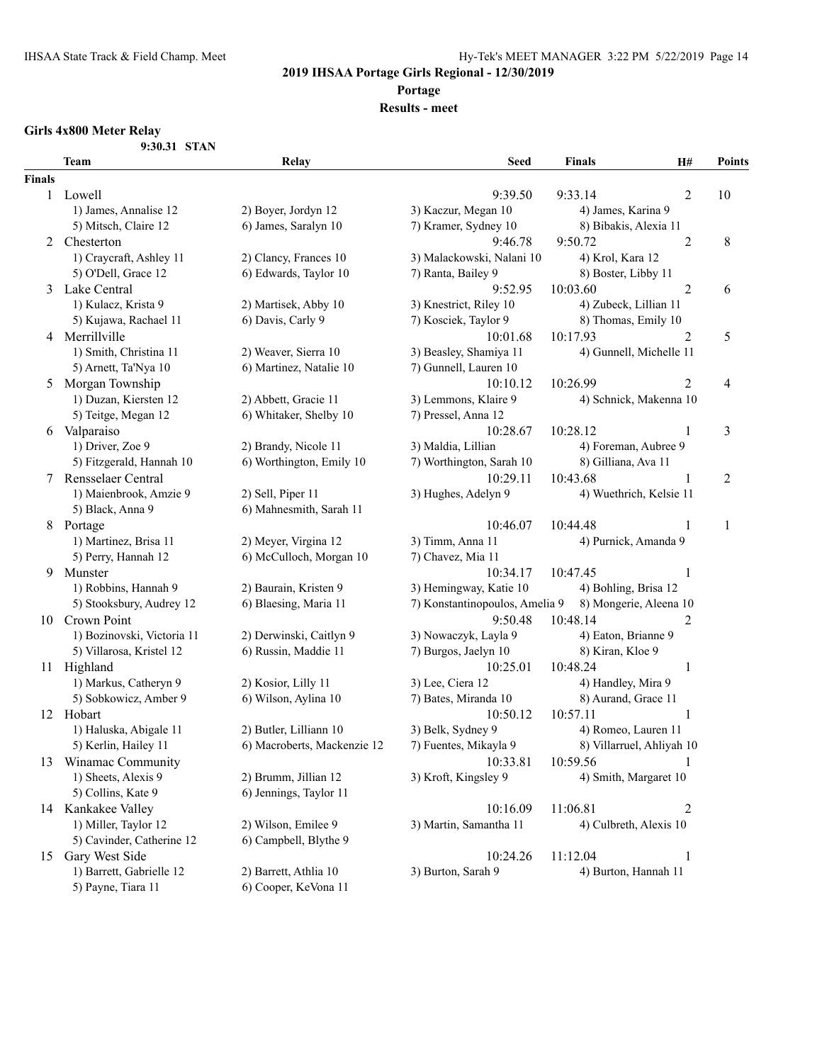#### **Portage**

### **Results - meet**

#### **Girls 4x800 Meter Relay**

| 9:30.31 STAN |  |
|--------------|--|
|              |  |

|               | Team                       | Relay                                          | <b>Seed</b>                    | <b>Finals</b>             | H#             | <b>Points</b>  |
|---------------|----------------------------|------------------------------------------------|--------------------------------|---------------------------|----------------|----------------|
| <b>Finals</b> |                            |                                                |                                |                           |                |                |
|               | 1 Lowell                   |                                                | 9:39.50                        | 9:33.14                   | $\overline{2}$ | 10             |
|               | 1) James, Annalise 12      | 2) Boyer, Jordyn 12                            | 3) Kaczur, Megan 10            | 4) James, Karina 9        |                |                |
|               | 5) Mitsch, Claire 12       | 6) James, Saralyn 10                           | 7) Kramer, Sydney 10           | 8) Bibakis, Alexia 11     |                |                |
| 2             | Chesterton                 |                                                | 9:46.78                        | 9:50.72                   | $\overline{2}$ | 8              |
|               | 1) Craycraft, Ashley 11    | 2) Clancy, Frances 10                          | 3) Malackowski, Nalani 10      | 4) Krol, Kara 12          |                |                |
|               | 5) O'Dell, Grace 12        | 6) Edwards, Taylor 10                          | 7) Ranta, Bailey 9             | 8) Boster, Libby 11       |                |                |
| 3             | Lake Central               |                                                | 9:52.95                        | 10:03.60                  | $\overline{2}$ | 6              |
|               | 1) Kulacz, Krista 9        | 2) Martisek, Abby 10                           | 3) Knestrict, Riley 10         | 4) Zubeck, Lillian 11     |                |                |
|               | 5) Kujawa, Rachael 11      | 6) Davis, Carly 9                              | 7) Kosciek, Taylor 9           | 8) Thomas, Emily 10       |                |                |
| 4             | Merrillville               |                                                | 10:01.68                       | 10:17.93                  | 2              | 5              |
|               | 1) Smith, Christina 11     | 2) Weaver, Sierra 10                           | 3) Beasley, Shamiya 11         | 4) Gunnell, Michelle 11   |                |                |
|               | 5) Arnett, Ta'Nya 10       | 6) Martinez, Natalie 10                        | 7) Gunnell, Lauren 10          |                           |                |                |
| 5             | Morgan Township            |                                                | 10:10.12                       | 10:26.99                  | 2              | 4              |
|               | 1) Duzan, Kiersten 12      | 2) Abbett, Gracie 11                           | 3) Lemmons, Klaire 9           | 4) Schnick, Makenna 10    |                |                |
|               | 5) Teitge, Megan 12        | 6) Whitaker, Shelby 10                         | 7) Pressel, Anna 12            |                           |                |                |
| 6             | Valparaiso                 |                                                | 10:28.67                       | 10:28.12                  | 1              | $\mathfrak{Z}$ |
|               | 1) Driver, Zoe 9           | 2) Brandy, Nicole 11                           | 3) Maldia, Lillian             | 4) Foreman, Aubree 9      |                |                |
|               | 5) Fitzgerald, Hannah 10   | 6) Worthington, Emily 10                       | 7) Worthington, Sarah 10       | 8) Gilliana, Ava 11       |                |                |
| 7             | Rensselaer Central         |                                                | 10:29.11                       | 10:43.68                  | 1              | $\sqrt{2}$     |
|               | 1) Maienbrook, Amzie 9     | 2) Sell, Piper 11                              | 3) Hughes, Adelyn 9            | 4) Wuethrich, Kelsie 11   |                |                |
|               | 5) Black, Anna 9           | 6) Mahnesmith, Sarah 11                        |                                |                           |                |                |
| 8             | Portage                    |                                                | 10:46.07                       | 10:44.48                  | 1              | $\mathbf{1}$   |
|               | 1) Martinez, Brisa 11      | 2) Meyer, Virgina 12                           | 3) Timm, Anna 11               | 4) Purnick, Amanda 9      |                |                |
|               | 5) Perry, Hannah 12        | 6) McCulloch, Morgan 10                        | 7) Chavez, Mia 11              |                           |                |                |
| 9             | Munster                    |                                                | 10:34.17                       | 10:47.45                  | $\mathbf{1}$   |                |
|               | 1) Robbins, Hannah 9       | 2) Baurain, Kristen 9                          | 3) Hemingway, Katie 10         | 4) Bohling, Brisa 12      |                |                |
|               | 5) Stooksbury, Audrey 12   | 6) Blaesing, Maria 11                          | 7) Konstantinopoulos, Amelia 9 | 8) Mongerie, Aleena 10    |                |                |
| 10            | Crown Point                |                                                | 9:50.48                        | 10:48.14                  | $\overline{c}$ |                |
|               | 1) Bozinovski, Victoria 11 | 2) Derwinski, Caitlyn 9                        | 3) Nowaczyk, Layla 9           | 4) Eaton, Brianne 9       |                |                |
|               | 5) Villarosa, Kristel 12   | 6) Russin, Maddie 11                           | 7) Burgos, Jaelyn 10           | 8) Kiran, Kloe 9          |                |                |
|               | 11 Highland                |                                                | 10:25.01                       | 10:48.24                  |                |                |
|               | 1) Markus, Catheryn 9      | 2) Kosior, Lilly 11                            | 3) Lee, Ciera 12               | 4) Handley, Mira 9        | $\mathbf{1}$   |                |
|               | 5) Sobkowicz, Amber 9      | 6) Wilson, Aylina 10                           | 7) Bates, Miranda 10           | 8) Aurand, Grace 11       |                |                |
|               | 12 Hobart                  |                                                | 10:50.12                       | 10:57.11                  | 1              |                |
|               | 1) Haluska, Abigale 11     | 2) Butler, Lilliann 10                         | 3) Belk, Sydney 9              | 4) Romeo, Lauren 11       |                |                |
|               | 5) Kerlin, Hailey 11       | 6) Macroberts, Mackenzie 12                    | 7) Fuentes, Mikayla 9          | 8) Villarruel, Ahliyah 10 |                |                |
|               | Winamac Community          |                                                | 10:33.81                       | 10:59.56                  |                |                |
| 13            |                            |                                                |                                |                           | 1              |                |
|               | 1) Sheets, Alexis 9        | 2) Brumm, Jillian 12<br>6) Jennings, Taylor 11 | 3) Kroft, Kingsley 9           | 4) Smith, Margaret 10     |                |                |
|               | 5) Collins, Kate 9         |                                                |                                |                           |                |                |
|               | 14 Kankakee Valley         |                                                | 10:16.09                       | 11:06.81                  | $\overline{c}$ |                |
|               | 1) Miller, Taylor 12       | 2) Wilson, Emilee 9                            | 3) Martin, Samantha 11         | 4) Culbreth, Alexis 10    |                |                |
|               | 5) Cavinder, Catherine 12  | 6) Campbell, Blythe 9                          |                                |                           |                |                |
| 15            | Gary West Side             |                                                | 10:24.26                       | 11:12.04                  | $\mathbf{1}$   |                |
|               | 1) Barrett, Gabrielle 12   | 2) Barrett, Athlia 10                          | 3) Burton, Sarah 9             | 4) Burton, Hannah 11      |                |                |
|               | 5) Payne, Tiara 11         | 6) Cooper, KeVona 11                           |                                |                           |                |                |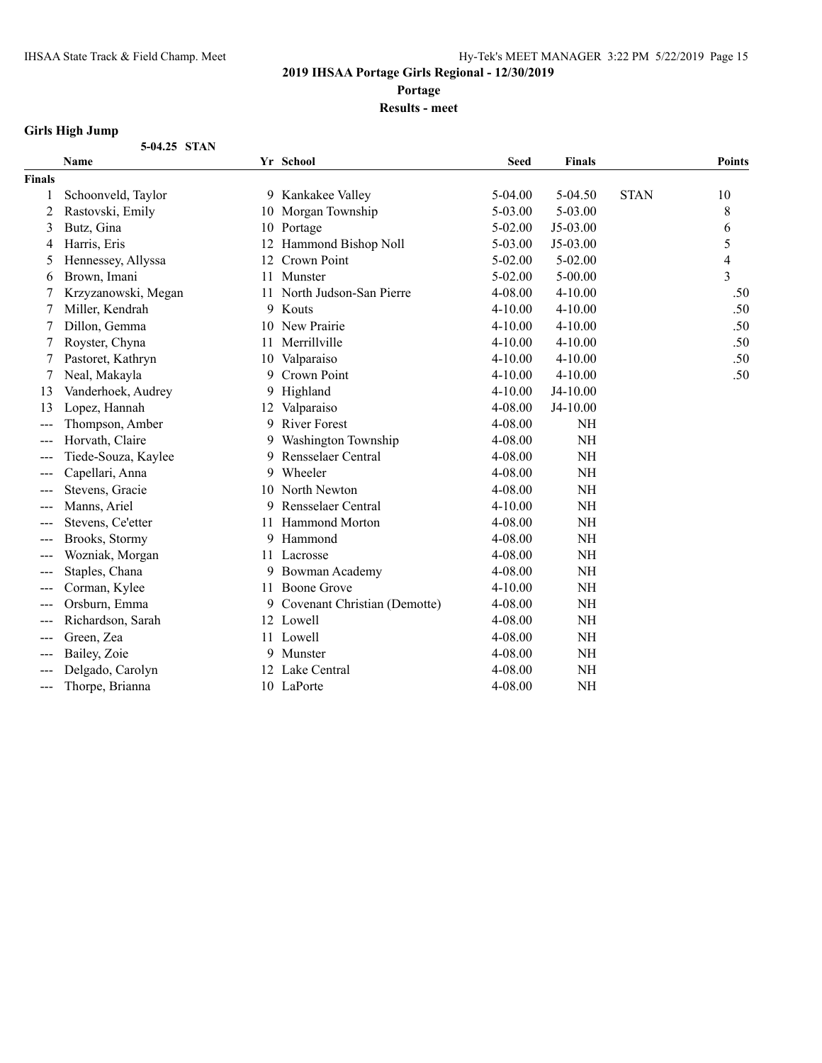**Portage**

**Results - meet**

### **Girls High Jump**

| 5-04.25 STAN |  |
|--------------|--|
|              |  |

|               | <b>Name</b>         |    | Yr School                    | <b>Seed</b> | <b>Finals</b> |             | <b>Points</b> |
|---------------|---------------------|----|------------------------------|-------------|---------------|-------------|---------------|
| <b>Finals</b> |                     |    |                              |             |               |             |               |
|               | Schoonveld, Taylor  |    | 9 Kankakee Valley            | 5-04.00     | $5-04.50$     | <b>STAN</b> | 10            |
| 2             | Rastovski, Emily    |    | 10 Morgan Township           | 5-03.00     | 5-03.00       |             | 8             |
| 3             | Butz, Gina          | 10 | Portage                      | $5 - 02.00$ | J5-03.00      |             | 6             |
| 4             | Harris, Eris        | 12 | Hammond Bishop Noll          | 5-03.00     | J5-03.00      |             | 5             |
| 5             | Hennessey, Allyssa  | 12 | Crown Point                  | 5-02.00     | $5 - 02.00$   |             | 4             |
| 6             | Brown, Imani        | 11 | Munster                      | $5 - 02.00$ | $5 - 00.00$   |             | 3             |
|               | Krzyzanowski, Megan | 11 | North Judson-San Pierre      | 4-08.00     | 4-10.00       |             | .50           |
|               | Miller, Kendrah     |    | 9 Kouts                      | $4 - 10.00$ | $4 - 10.00$   |             | .50           |
| 7             | Dillon, Gemma       |    | 10 New Prairie               | $4 - 10.00$ | $4 - 10.00$   |             | .50           |
|               | Royster, Chyna      | 11 | Merrillville                 | $4 - 10.00$ | 4-10.00       |             | .50           |
| 7             | Pastoret, Kathryn   | 10 | Valparaiso                   | $4 - 10.00$ | 4-10.00       |             | .50           |
|               | Neal, Makayla       | 9  | Crown Point                  | 4-10.00     | 4-10.00       |             | .50           |
| 13            | Vanderhoek, Audrey  | 9  | Highland                     | $4 - 10.00$ | J4-10.00      |             |               |
| 13            | Lopez, Hannah       | 12 | Valparaiso                   | 4-08.00     | J4-10.00      |             |               |
| ---           | Thompson, Amber     | 9  | <b>River Forest</b>          | 4-08.00     | <b>NH</b>     |             |               |
| ---           | Horvath, Claire     | 9  | Washington Township          | 4-08.00     | <b>NH</b>     |             |               |
| $---$         | Tiede-Souza, Kaylee | 9  | Rensselaer Central           | 4-08.00     | NH            |             |               |
| ---           | Capellari, Anna     | 9  | Wheeler                      | 4-08.00     | <b>NH</b>     |             |               |
|               | Stevens, Gracie     | 10 | North Newton                 | 4-08.00     | NH            |             |               |
| ---           | Manns, Ariel        | 9  | Rensselaer Central           | $4 - 10.00$ | NH            |             |               |
| ---           | Stevens, Ce'etter   | 11 | <b>Hammond Morton</b>        | 4-08.00     | <b>NH</b>     |             |               |
| ---           | Brooks, Stormy      | 9  | Hammond                      | 4-08.00     | <b>NH</b>     |             |               |
| ---           | Wozniak, Morgan     | 11 | Lacrosse                     | 4-08.00     | NH            |             |               |
| $---$         | Staples, Chana      | 9  | Bowman Academy               | 4-08.00     | NH            |             |               |
| $---$         | Corman, Kylee       |    | 11 Boone Grove               | $4 - 10.00$ | <b>NH</b>     |             |               |
| ---           | Orsburn, Emma       | 9  | Covenant Christian (Demotte) | 4-08.00     | <b>NH</b>     |             |               |
|               | Richardson, Sarah   |    | 12 Lowell                    | 4-08.00     | NH            |             |               |
| ---           | Green, Zea          |    | 11 Lowell                    | 4-08.00     | <b>NH</b>     |             |               |
|               | Bailey, Zoie        |    | 9 Munster                    | 4-08.00     | <b>NH</b>     |             |               |
|               | Delgado, Carolyn    | 12 | Lake Central                 | 4-08.00     | NH            |             |               |
| $---$         | Thorpe, Brianna     |    | 10 LaPorte                   | 4-08.00     | <b>NH</b>     |             |               |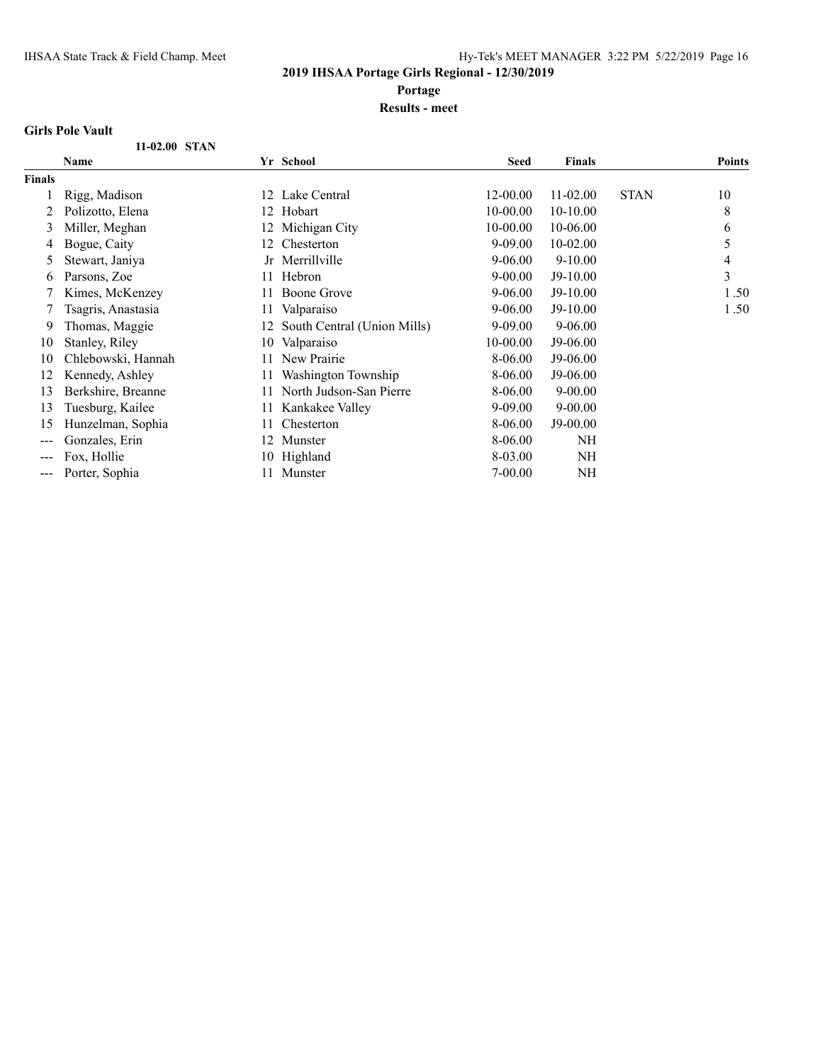**Portage**

**Results - meet**

#### **Girls Pole Vault**

|        | 11-02.00 STAN      |      |                             |             |               |             |               |
|--------|--------------------|------|-----------------------------|-------------|---------------|-------------|---------------|
|        | Name               |      | Yr School                   | <b>Seed</b> | <b>Finals</b> |             | <b>Points</b> |
| Finals |                    |      |                             |             |               |             |               |
|        | Rigg, Madison      | 12   | Lake Central                | 12-00.00    | 11-02.00      | <b>STAN</b> | 10            |
|        | Polizotto, Elena   | 12   | Hobart                      | 10-00.00    | 10-10.00      |             | 8             |
| 3      | Miller, Meghan     | 12 - | Michigan City               | 10-00.00    | 10-06.00      |             | 6             |
| 4      | Bogue, Caity       | 12.  | Chesterton                  | $9 - 09.00$ | 10-02.00      |             | 5             |
| 5      | Stewart, Janiya    |      | Jr Merrillville             | $9 - 06.00$ | $9 - 10.00$   |             | 4             |
| 6      | Parsons, Zoe       | 11   | Hebron                      | $9 - 00.00$ | J9-10.00      |             | 3             |
|        | Kimes, McKenzey    |      | Boone Grove                 | $9 - 06.00$ | $J9-10.00$    |             | 1.50          |
|        | Tsagris, Anastasia | 11   | Valparaiso                  | $9 - 06.00$ | J9-10.00      |             | 1.50          |
| 9      | Thomas, Maggie     | 12   | South Central (Union Mills) | $9 - 09.00$ | $9 - 06.00$   |             |               |
| 10     | Stanley, Riley     | 10   | Valparaiso                  | 10-00.00    | J9-06.00      |             |               |
| 10     | Chlebowski, Hannah |      | New Prairie                 | 8-06.00     | J9-06.00      |             |               |
| 12     | Kennedy, Ashley    |      | Washington Township         | 8-06.00     | J9-06.00      |             |               |
| 13     | Berkshire, Breanne | 11.  | North Judson-San Pierre     | 8-06.00     | $9 - 00.00$   |             |               |
| 13     | Tuesburg, Kailee   | 11   | Kankakee Valley             | 9-09.00     | $9 - 00.00$   |             |               |
| 15     | Hunzelman, Sophia  | 11   | Chesterton                  | 8-06.00     | $J9-00.00$    |             |               |
|        | Gonzales, Erin     | 12.  | Munster                     | 8-06.00     | NH            |             |               |
| ---    | Fox, Hollie        | 10-  | Highland                    | 8-03.00     | NH            |             |               |
| ---    | Porter, Sophia     | 11.  | Munster                     | $7 - 00.00$ | NH            |             |               |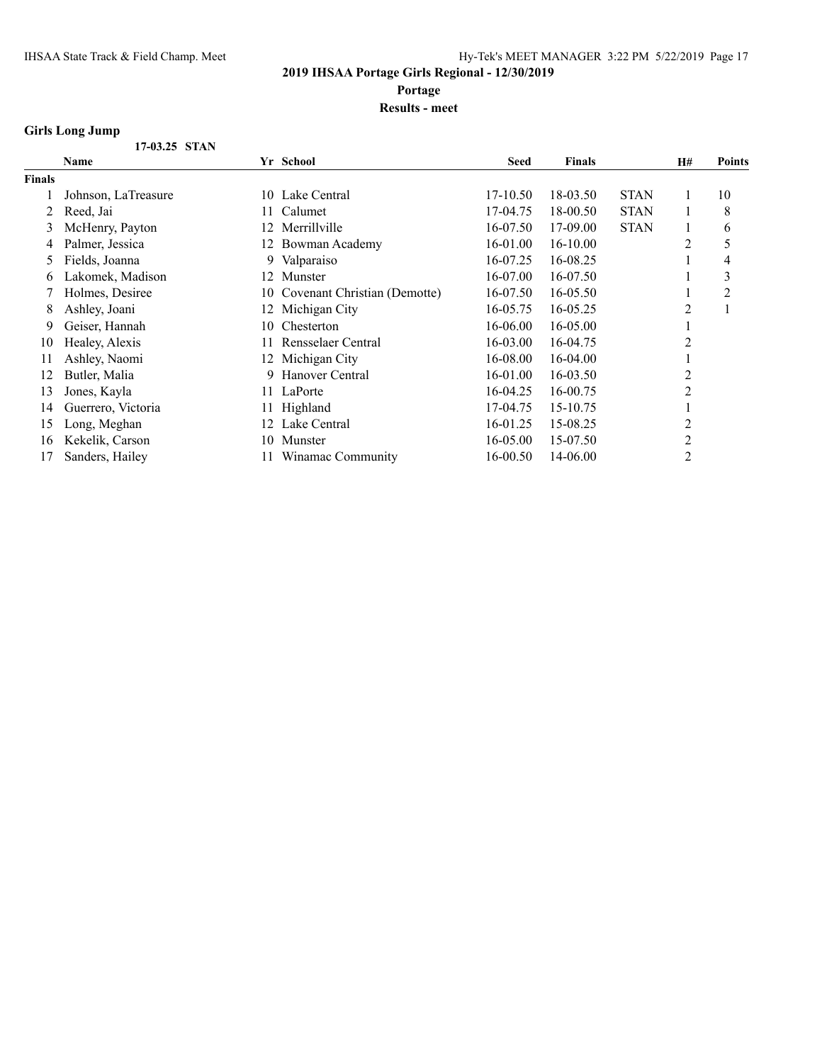**Portage**

**Results - meet**

### **Girls Long Jump**

|               | Name                |     | Yr School                    | <b>Seed</b> | <b>Finals</b> |             | <b>H#</b>      | Points |
|---------------|---------------------|-----|------------------------------|-------------|---------------|-------------|----------------|--------|
| <b>Finals</b> |                     |     |                              |             |               |             |                |        |
|               | Johnson, LaTreasure |     | 10 Lake Central              | 17-10.50    | 18-03.50      | <b>STAN</b> |                | 10     |
| 2             | Reed, Jai           | 11. | Calumet                      | 17-04.75    | 18-00.50      | <b>STAN</b> |                | 8      |
| 3             | McHenry, Payton     | 12  | Merrillville                 | 16-07.50    | 17-09.00      | <b>STAN</b> |                | 6      |
| 4             | Palmer, Jessica     | 12  | Bowman Academy               | 16-01.00    | 16-10.00      |             | $\overline{2}$ | 5      |
| 5.            | Fields, Joanna      |     | 9 Valparaiso                 | 16-07.25    | 16-08.25      |             |                | 4      |
| 6.            | Lakomek, Madison    | 12  | Munster                      | 16-07.00    | 16-07.50      |             |                | 3      |
|               | Holmes, Desiree     | 10- | Covenant Christian (Demotte) | 16-07.50    | 16-05.50      |             |                | 2      |
| 8             | Ashley, Joani       | 12  | Michigan City                | 16-05.75    | 16-05.25      |             | $\overline{2}$ |        |
| 9             | Geiser, Hannah      | 10. | Chesterton                   | 16-06.00    | 16-05.00      |             |                |        |
| 10            | Healey, Alexis      | 11. | Rensselaer Central           | 16-03.00    | 16-04.75      |             | $\overline{2}$ |        |
| 11            | Ashley, Naomi       |     | 12 Michigan City             | 16-08.00    | 16-04.00      |             |                |        |
| 12            | Butler, Malia       |     | 9 Hanover Central            | 16-01.00    | 16-03.50      |             | $\overline{2}$ |        |
| 13            | Jones, Kayla        |     | 11 LaPorte                   | 16-04.25    | 16-00.75      |             | 2              |        |
| 14            | Guerrero, Victoria  |     | 11 Highland                  | 17-04.75    | 15-10.75      |             |                |        |
| 15            | Long, Meghan        | 12  | Lake Central                 | 16-01.25    | 15-08.25      |             | $\overline{2}$ |        |
| 16            | Kekelik, Carson     | 10  | Munster                      | 16-05.00    | 15-07.50      |             | 2              |        |
| 17            | Sanders, Hailey     |     | Winamac Community            | 16-00.50    | 14-06.00      |             | 2              |        |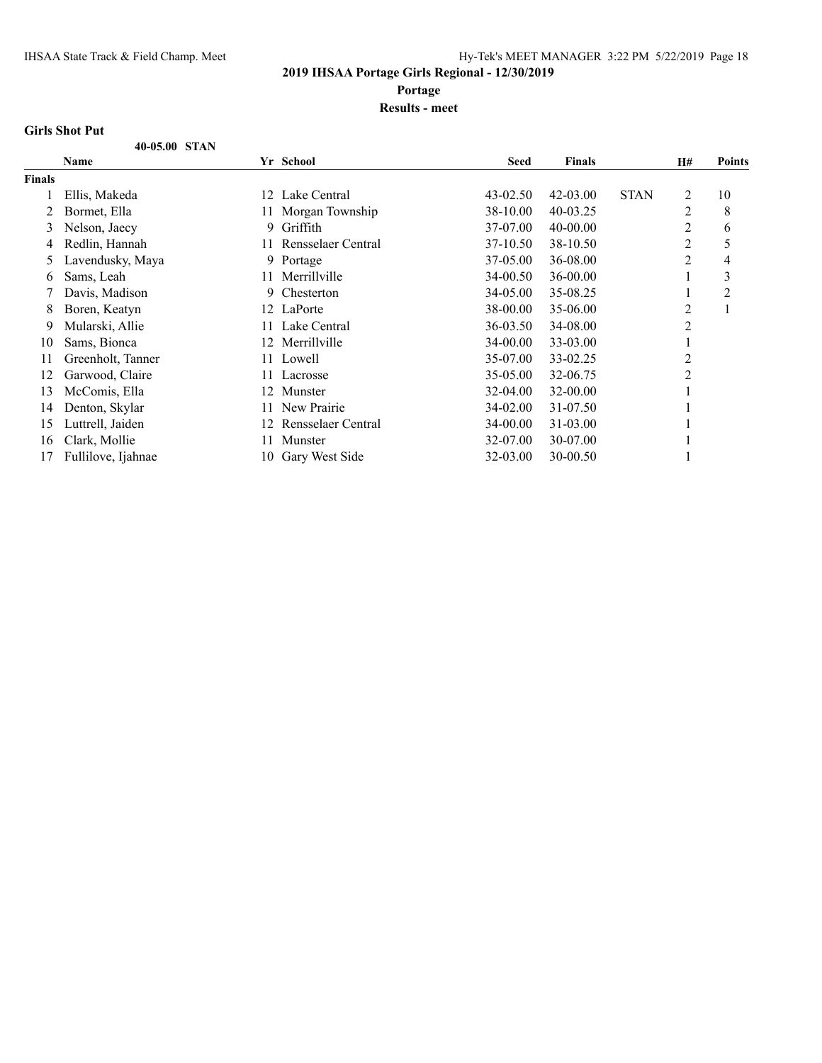**Portage**

#### **Results - meet**

#### **Girls Shot Put**

|        | 40-05.00 STAN      |     |                    |              |               |             |    |               |
|--------|--------------------|-----|--------------------|--------------|---------------|-------------|----|---------------|
|        | Name               |     | Yr School          | <b>Seed</b>  | <b>Finals</b> |             | H# | <b>Points</b> |
| Finals |                    |     |                    |              |               |             |    |               |
|        | Ellis, Makeda      | 12  | Lake Central       | $43 - 02.50$ | $42 - 03.00$  | <b>STAN</b> | 2  | 10            |
| 2      | Bormet, Ella       | 11- | Morgan Township    | 38-10.00     | $40 - 03.25$  |             | 2  | 8             |
| 3      | Nelson, Jaecy      | 9.  | Griffith           | 37-07.00     | $40 - 00.00$  |             | 2  | 6             |
| 4      | Redlin, Hannah     | 11  | Rensselaer Central | 37-10.50     | 38-10.50      |             | 2  | 5             |
| 5      | Lavendusky, Maya   | 9.  | Portage            | 37-05.00     | 36-08.00      |             | 2  | 4             |
| 6      | Sams, Leah         | 11. | Merrillville       | 34-00.50     | 36-00.00      |             |    | 3             |
|        | Davis, Madison     | 9.  | Chesterton         | 34-05.00     | 35-08.25      |             | -1 | 2             |
| 8      | Boren, Keatyn      |     | 12 LaPorte         | 38-00.00     | 35-06.00      |             | 2  |               |
| 9      | Mularski, Allie    |     | Lake Central       | 36-03.50     | 34-08.00      |             | 2  |               |
| 10     | Sams, Bionca       | 12  | Merrillville       | 34-00.00     | 33-03.00      |             |    |               |
| 11     | Greenholt, Tanner  | 11- | Lowell             | 35-07.00     | 33-02.25      |             | 2  |               |
| 12     | Garwood, Claire    | 11. | Lacrosse           | 35-05.00     | 32-06.75      |             | 2  |               |
| 13     | McComis, Ella      | 12  | Munster            | 32-04.00     | 32-00.00      |             |    |               |
| 14     | Denton, Skylar     | 11. | New Prairie        | 34-02.00     | 31-07.50      |             |    |               |
| 15     | Luttrell, Jaiden   | 12. | Rensselaer Central | 34-00.00     | 31-03.00      |             |    |               |
| 16     | Clark, Mollie      | 11  | Munster            | 32-07.00     | 30-07.00      |             |    |               |
| 17     | Fullilove, Ijahnae | 10  | Gary West Side     | 32-03.00     | 30-00.50      |             |    |               |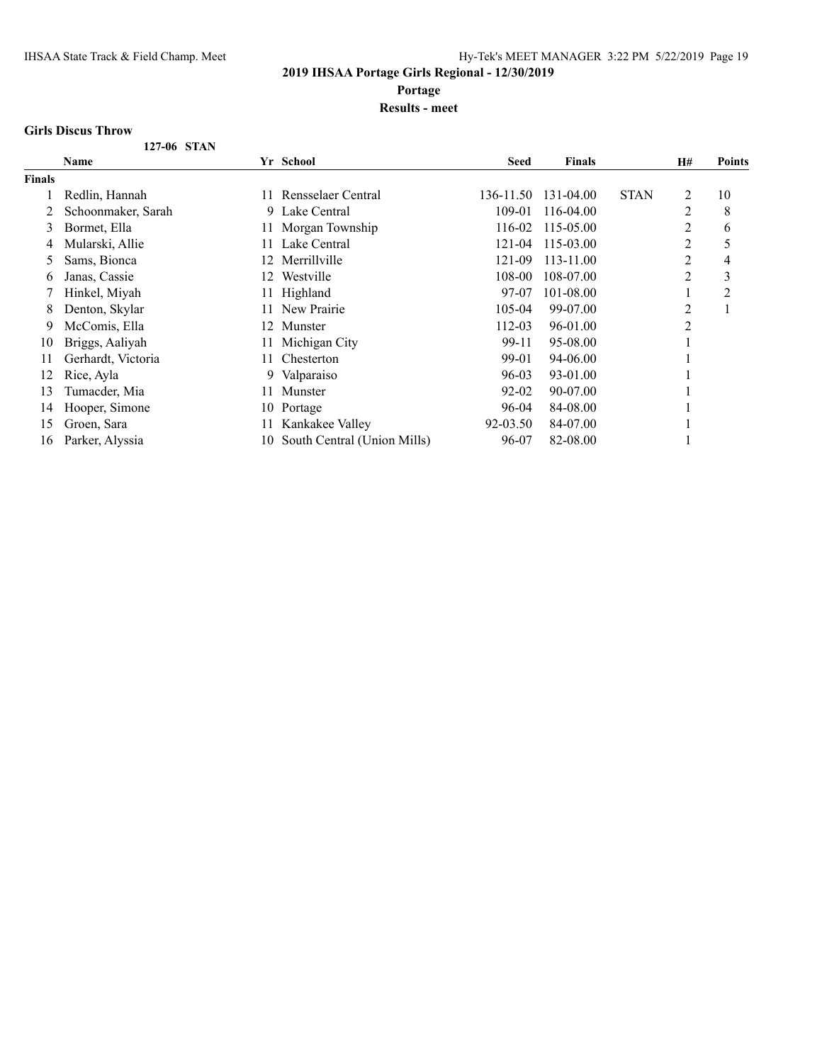**Portage**

#### **Results - meet**

#### **Girls Discus Throw**

|               | 127-06 STAN        |     |                             |             |               |             |                |               |
|---------------|--------------------|-----|-----------------------------|-------------|---------------|-------------|----------------|---------------|
|               | <b>Name</b>        |     | Yr School                   | <b>Seed</b> | <b>Finals</b> |             | H#             | <b>Points</b> |
| <b>Finals</b> |                    |     |                             |             |               |             |                |               |
|               | Redlin, Hannah     | 11. | Rensselaer Central          | 136-11.50   | 131-04.00     | <b>STAN</b> | 2              | 10            |
|               | Schoonmaker, Sarah |     | 9 Lake Central              | 109-01      | 116-04.00     |             | $\overline{2}$ | 8             |
| 3             | Bormet, Ella       | 11- | Morgan Township             | 116-02      | 115-05.00     |             | $\overline{2}$ | 6             |
| 4             | Mularski, Allie    | 11  | Lake Central                | 121-04      | 115-03.00     |             | $\overline{2}$ | 5             |
| 5             | Sams, Bionca       | 12. | Merrillville                | 121-09      | 113-11.00     |             | $\overline{2}$ | 4             |
| 6             | Janas, Cassie      | 12. | Westville                   | 108-00      | 108-07.00     |             | 2              | 3             |
|               | Hinkel, Miyah      |     | Highland                    | 97-07       | 101-08.00     |             |                | 2             |
| 8             | Denton, Skylar     | 11. | New Prairie                 | 105-04      | 99-07.00      |             | 2              |               |
| 9             | McComis, Ella      | 12. | Munster                     | 112-03      | 96-01.00      |             | $\overline{2}$ |               |
| 10            | Briggs, Aaliyah    | 11. | Michigan City               | 99-11       | 95-08.00      |             |                |               |
| 11            | Gerhardt, Victoria | 11  | Chesterton                  | 99-01       | 94-06.00      |             |                |               |
| 12            | Rice, Ayla         |     | 9 Valparaiso                | 96-03       | 93-01.00      |             |                |               |
| 13            | Tumacder, Mia      | 11  | Munster                     | 92-02       | 90-07.00      |             |                |               |
| 14            | Hooper, Simone     | 10  | Portage                     | 96-04       | 84-08.00      |             |                |               |
| 15            | Groen, Sara        |     | Kankakee Valley             | 92-03.50    | 84-07.00      |             |                |               |
| 16            | Parker, Alyssia    | 10  | South Central (Union Mills) | 96-07       | 82-08.00      |             |                |               |